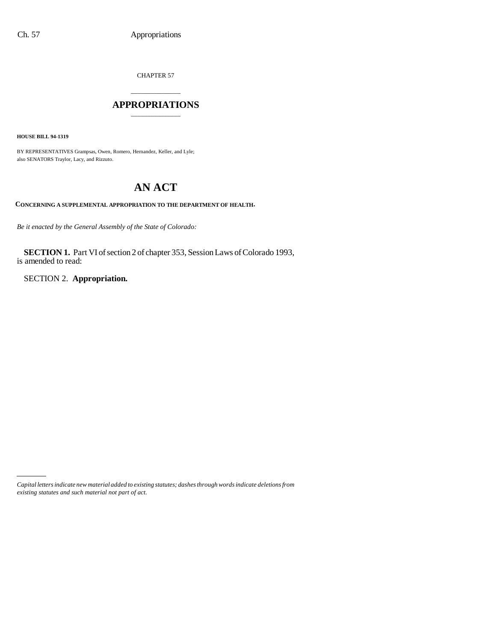CHAPTER 57

## \_\_\_\_\_\_\_\_\_\_\_\_\_\_\_ **APPROPRIATIONS** \_\_\_\_\_\_\_\_\_\_\_\_\_\_\_

**HOUSE BILL 94-1319**

BY REPRESENTATIVES Grampsas, Owen, Romero, Hernandez, Keller, and Lyle; also SENATORS Traylor, Lacy, and Rizzuto.

# **AN ACT**

**CONCERNING A SUPPLEMENTAL APPROPRIATION TO THE DEPARTMENT OF HEALTH.**

*Be it enacted by the General Assembly of the State of Colorado:*

**SECTION 1.** Part VI of section 2 of chapter 353, Session Laws of Colorado 1993, is amended to read:

SECTION 2. **Appropriation.**

*Capital letters indicate new material added to existing statutes; dashes through words indicate deletions from existing statutes and such material not part of act.*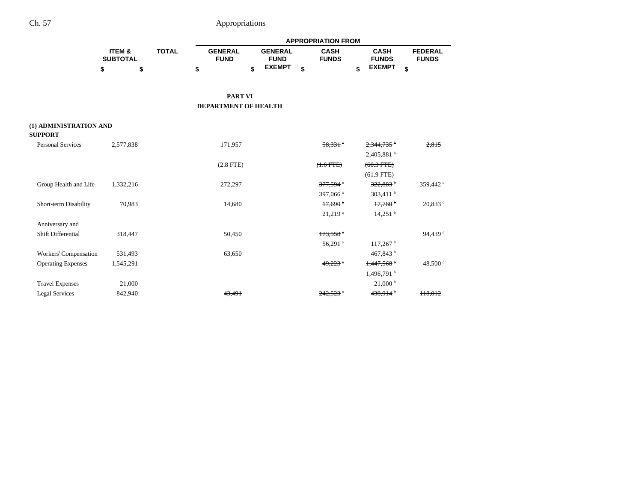|                                          |                           |              |                               |                               | <b>APPROPRIATION FROM</b>   |                             |                                |
|------------------------------------------|---------------------------|--------------|-------------------------------|-------------------------------|-----------------------------|-----------------------------|--------------------------------|
|                                          | ITEM &<br><b>SUBTOTAL</b> | <b>TOTAL</b> | <b>GENERAL</b><br><b>FUND</b> | <b>GENERAL</b><br><b>FUND</b> | <b>CASH</b><br><b>FUNDS</b> | <b>CASH</b><br><b>FUNDS</b> | <b>FEDERAL</b><br><b>FUNDS</b> |
|                                          | \$<br>\$                  |              | \$                            | \$<br><b>EXEMPT</b>           | \$                          | \$<br><b>EXEMPT</b>         | \$                             |
|                                          |                           |              | <b>PART VI</b>                |                               |                             |                             |                                |
|                                          |                           |              | DEPARTMENT OF HEALTH          |                               |                             |                             |                                |
| (1) ADMINISTRATION AND<br><b>SUPPORT</b> |                           |              |                               |                               |                             |                             |                                |
| <b>Personal Services</b>                 | 2,577,838                 |              | 171,957                       |                               | $58.331$ <sup>a</sup>       | $2,344,735$ <sup>b</sup>    | 2,815                          |
|                                          |                           |              |                               |                               |                             | $2,405,881$ <sup>b</sup>    |                                |
|                                          |                           |              | $(2.8$ FTE)                   |                               | $(+.6$ FTE $)$              | $(60.3$ FTE $)$             |                                |
|                                          |                           |              |                               |                               |                             | $(61.9$ FTE)                |                                |
| Group Health and Life                    | 1,332,216                 |              | 272,297                       |                               | 377,594 °                   | 322,883 <sup>b</sup>        | 359,442 °                      |
|                                          |                           |              |                               |                               | 397,066 <sup>a</sup>        | 303,411 $^{\rm b}$          |                                |
| Short-term Disability                    | 70,983                    |              | 14,680                        |                               | $17,690$ <sup>a</sup>       | $17,780$ <sup>b</sup>       | $20,833$ $\degree$             |
|                                          |                           |              |                               |                               | $21,219$ <sup>a</sup>       | 14,251 <sup>b</sup>         |                                |
| Anniversary and                          |                           |              |                               |                               |                             |                             |                                |
| Shift Differential                       | 318,447                   |              | 50,450                        |                               | $173,558$ <sup>a</sup>      |                             | 94,439 °                       |
|                                          |                           |              |                               |                               | 56,291 <sup>a</sup>         | $117,267$ <sup>b</sup>      |                                |
| Workers' Compensation                    | 531,493                   |              | 63,650                        |                               |                             | 467,843 <sup>b</sup>        |                                |
| <b>Operating Expenses</b>                | 1,545,291                 |              |                               |                               | $49,223$ $^{\circ}$         | $1,447,568$ <sup>b</sup>    | 48,500 <sup>d</sup>            |
|                                          |                           |              |                               |                               |                             | $1,496,791$ <sup>b</sup>    |                                |
| <b>Travel Expenses</b>                   | 21,000                    |              |                               |                               |                             | $21,000^{\text{ b}}$        |                                |
| <b>Legal Services</b>                    | 842,940                   |              | 43,491                        |                               | $242.523$ $^{\circ}$        | $438,914$ <sup>b</sup>      | 118,012                        |
|                                          |                           |              |                               |                               |                             |                             |                                |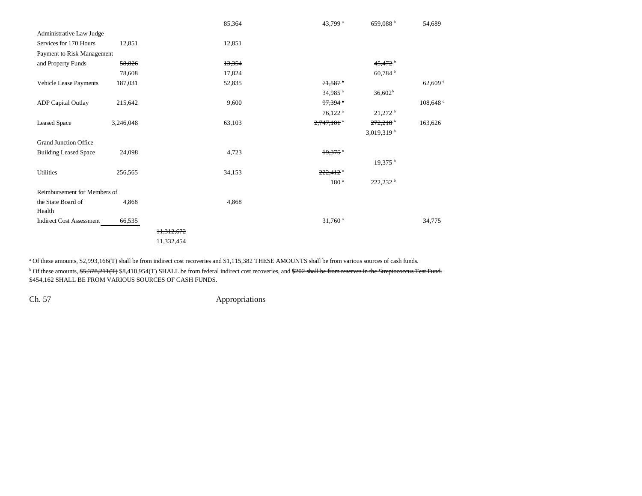|                                 |           |            | 85,364 | 43,799 <sup>a</sup>      | 659,088 <sup>b</sup>   | 54,689                 |
|---------------------------------|-----------|------------|--------|--------------------------|------------------------|------------------------|
| Administrative Law Judge        |           |            |        |                          |                        |                        |
| Services for 170 Hours          | 12,851    |            | 12,851 |                          |                        |                        |
| Payment to Risk Management      |           |            |        |                          |                        |                        |
| and Property Funds              | 58,826    |            | 13,354 |                          | $45,472$ <sup>b</sup>  |                        |
|                                 | 78,608    |            | 17,824 |                          | 60,784 <sup>b</sup>    |                        |
| Vehicle Lease Payments          | 187,031   |            | 52,835 | $71,587$ <sup>a</sup>    |                        | 62,609e                |
|                                 |           |            |        | 34,985 <sup>a</sup>      | $36,602^b$             |                        |
| <b>ADP</b> Capital Outlay       | 215,642   |            | 9,600  | $97,394$ $^{\circ}$      |                        | $108,648$ <sup>d</sup> |
|                                 |           |            |        | $76,122$ <sup>a</sup>    | $21,272$ <sup>b</sup>  |                        |
| <b>Leased Space</b>             | 3,246,048 |            | 63,103 | $2,747,101$ <sup>*</sup> | $272,218$ <sup>b</sup> | 163,626                |
|                                 |           |            |        |                          | 3,019,319 <sup>b</sup> |                        |
| <b>Grand Junction Office</b>    |           |            |        |                          |                        |                        |
| <b>Building Leased Space</b>    | 24,098    |            | 4,723  | $19,375$ *               |                        |                        |
|                                 |           |            |        |                          | $19,375$ <sup>b</sup>  |                        |
| Utilities                       | 256,565   |            | 34,153 | $222,412$ <sup>a</sup>   |                        |                        |
|                                 |           |            |        | 180 <sup>a</sup>         | 222,232 b              |                        |
| Reimbursement for Members of    |           |            |        |                          |                        |                        |
| the State Board of              | 4,868     |            | 4,868  |                          |                        |                        |
| Health                          |           |            |        |                          |                        |                        |
| <b>Indirect Cost Assessment</b> | 66,535    |            |        | $31,760$ <sup>a</sup>    |                        | 34,775                 |
|                                 |           | 11,312,672 |        |                          |                        |                        |
|                                 |           | 11,332,454 |        |                          |                        |                        |
|                                 |           |            |        |                          |                        |                        |

<sup>a</sup> Of these amounts, \$2,993,166(T) shall be from indirect cost recoveries and \$1,115,382 THESE AMOUNTS shall be from various sources of cash funds.

<sup>b</sup> Of these amounts, \$5,378,211(T) \$8,410,954(T) SHALL be from federal indirect cost recoveries, and <del>\$202 shall be from reserves in the Streptococcus Test Fund.</del> \$454,162 SHALL BE FROM VARIOUS SOURCES OF CASH FUNDS.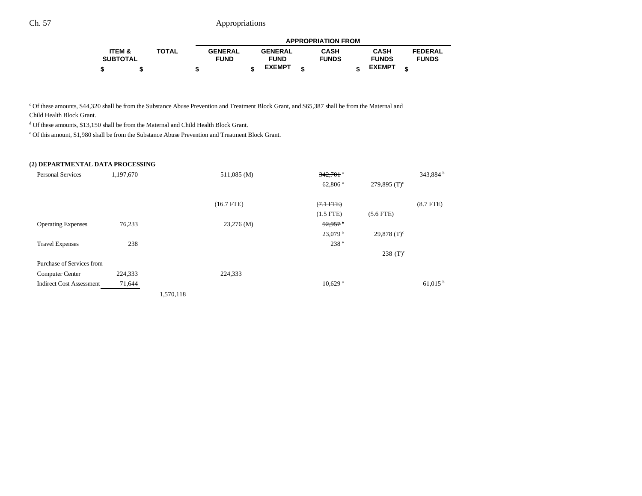|                 |              |                |                | <b>APPROPRIATION FROM</b> |               |                |
|-----------------|--------------|----------------|----------------|---------------------------|---------------|----------------|
| ITEM &          | <b>TOTAL</b> | <b>GENERAL</b> | <b>GENERAL</b> | <b>CASH</b>               | <b>CASH</b>   | <b>FEDERAL</b> |
| <b>SUBTOTAL</b> |              | <b>FUND</b>    | <b>FUND</b>    | <b>FUNDS</b>              | <b>FUNDS</b>  | <b>FUNDS</b>   |
|                 |              |                | <b>EXEMPT</b>  |                           | <b>EXEMPT</b> |                |

c Of these amounts, \$44,320 shall be from the Substance Abuse Prevention and Treatment Block Grant, and \$65,387 shall be from the Maternal and

Child Health Block Grant.

<sup>d</sup> Of these amounts, \$13,150 shall be from the Maternal and Child Health Block Grant.

e Of this amount, \$1,980 shall be from the Substance Abuse Prevention and Treatment Block Grant.

#### **(2) DEPARTMENTAL DATA PROCESSING**

| <b>Personal Services</b>        | 1,197,670 |           | 511,085 (M)  | $342,701$ <sup>a</sup> |                 | 343,884 <sup>b</sup>  |
|---------------------------------|-----------|-----------|--------------|------------------------|-----------------|-----------------------|
|                                 |           |           |              | $62,806$ <sup>a</sup>  | 279,895 $(T)^c$ |                       |
|                                 |           |           |              |                        |                 |                       |
|                                 |           |           | $(16.7$ FTE) | $(7.1 \text{ FTE})$    |                 | $(8.7$ FTE $)$        |
|                                 |           |           |              | $(1.5$ FTE)            | $(5.6$ FTE)     |                       |
| <b>Operating Expenses</b>       | 76,233    |           | $23,276$ (M) | 52,957                 |                 |                       |
|                                 |           |           |              | $23,079$ <sup>a</sup>  | 29,878 $(T)^c$  |                       |
| <b>Travel Expenses</b>          | 238       |           |              | 238 <sup>a</sup>       |                 |                       |
|                                 |           |           |              |                        | 238 $(T)^c$     |                       |
| Purchase of Services from       |           |           |              |                        |                 |                       |
| Computer Center                 | 224,333   |           | 224,333      |                        |                 |                       |
| <b>Indirect Cost Assessment</b> | 71,644    |           |              | $10,629$ <sup>a</sup>  |                 | $61,015$ <sup>b</sup> |
|                                 |           | 1,570,118 |              |                        |                 |                       |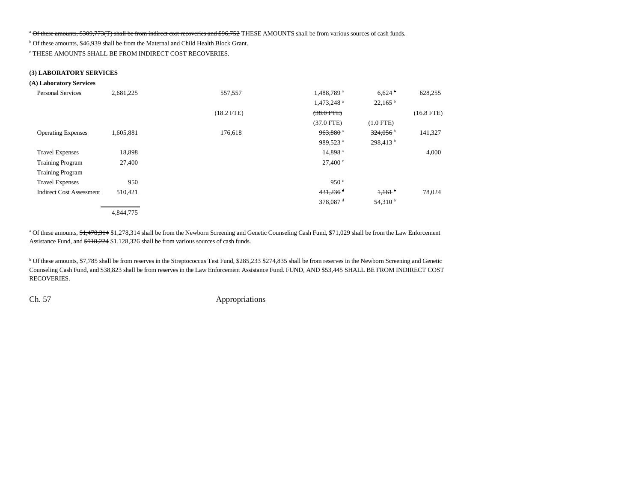<sup>a</sup> Of these amounts, \$309,773(T) shall be from indirect cost recoveries and \$96,752 THESE AMOUNTS shall be from various sources of cash funds.

b Of these amounts, \$46,939 shall be from the Maternal and Child Health Block Grant.

c THESE AMOUNTS SHALL BE FROM INDIRECT COST RECOVERIES.

#### **(3) LABORATORY SERVICES**

#### **(A) Laboratory Services**

| <b>Personal Services</b>        | 2,681,225 | 557,557      | $1,488,789$ <sup>a</sup> | 6,624                  | 628,255      |
|---------------------------------|-----------|--------------|--------------------------|------------------------|--------------|
|                                 |           |              | 1,473,248 <sup>a</sup>   | $22,165^{\mathrm{b}}$  |              |
|                                 |           | $(18.2$ FTE) | $(38.0$ FTE)             |                        | $(16.8$ FTE) |
|                                 |           |              | $(37.0$ FTE)             | $(1.0$ FTE)            |              |
| <b>Operating Expenses</b>       | 1,605,881 | 176,618      | $963,880$ <sup>a</sup>   | $324,056$ <sup>b</sup> | 141,327      |
|                                 |           |              | 989,523 <sup>a</sup>     | 298.413 <sup>b</sup>   |              |
| <b>Travel Expenses</b>          | 18,898    |              | 14,898 <sup>a</sup>      |                        | 4,000        |
| <b>Training Program</b>         | 27,400    |              | 27,400 °                 |                        |              |
| <b>Training Program</b>         |           |              |                          |                        |              |
| <b>Travel Expenses</b>          | 950       |              | 950 $\degree$            |                        |              |
| <b>Indirect Cost Assessment</b> | 510,421   |              | $431,236$ <sup>d</sup>   | $1,161$ <sup>b</sup>   | 78,024       |
|                                 |           |              | 378,087 <sup>d</sup>     | 54,310 $^{\rm b}$      |              |
|                                 | 4,844,775 |              |                          |                        |              |

<sup>a</sup> Of these amounts, \$1,478,314 \$1,278,314 shall be from the Newborn Screening and Genetic Counseling Cash Fund, \$71,029 shall be from the Law Enforcement Assistance Fund, and \$918,224 \$1,128,326 shall be from various sources of cash funds.

<sup>b</sup> Of these amounts, \$7,785 shall be from reserves in the Streptococcus Test Fund, \$285,233 \$274,835 shall be from reserves in the Newborn Screening and Genetic Counseling Cash Fund, and \$38,823 shall be from reserves in the Law Enforcement Assistance Fund. FUND, AND \$53,445 SHALL BE FROM INDIRECT COST RECOVERIES.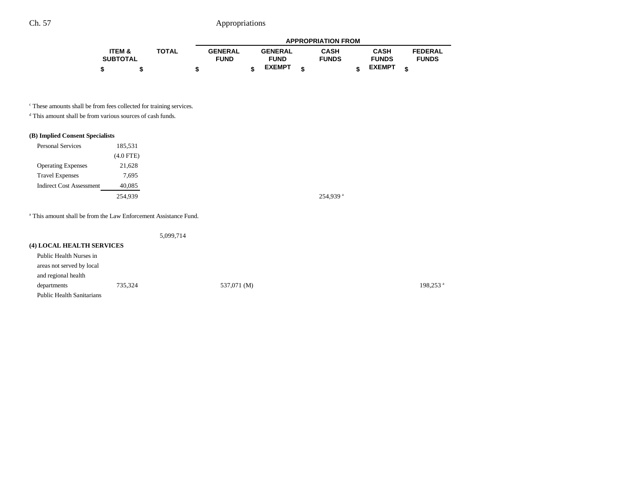|                   |              |                |                |   | <b>APPROPRIATION FROM</b> |               |                |
|-------------------|--------------|----------------|----------------|---|---------------------------|---------------|----------------|
| <b>ITEM &amp;</b> | <b>TOTAL</b> | <b>GENERAL</b> | <b>GENERAL</b> |   | <b>CASH</b>               | <b>CASH</b>   | <b>FEDERAL</b> |
| <b>SUBTOTAL</b>   |              | <b>FUND</b>    | <b>FUND</b>    |   | <b>FUNDS</b>              | <b>FUNDS</b>  | <b>FUNDS</b>   |
|                   |              |                | <b>EXEMPT</b>  | ¢ |                           | <b>EXEMPT</b> |                |

 $\,^{\mathrm{c}}$  These amounts shall be from fees collected for training services.

d This amount shall be from various sources of cash funds.

### **(B) Implied Consent Specialists**

| <b>Personal Services</b>        | 185,531     |
|---------------------------------|-------------|
|                                 | $(4.0$ FTE) |
| <b>Operating Expenses</b>       | 21,628      |
| <b>Travel Expenses</b>          | 7,695       |
| <b>Indirect Cost Assessment</b> | 40,085      |
|                                 | 254.939     |

254,939 $^{\rm a}$ 

a This amount shall be from the Law Enforcement Assistance Fund.

|                                  |         | 5,099,714   |                      |
|----------------------------------|---------|-------------|----------------------|
| <b>(4) LOCAL HEALTH SERVICES</b> |         |             |                      |
| Public Health Nurses in          |         |             |                      |
| areas not served by local        |         |             |                      |
| and regional health              |         |             |                      |
| departments                      | 735.324 | 537,071 (M) | 198.253 <sup>a</sup> |
| <b>Public Health Sanitarians</b> |         |             |                      |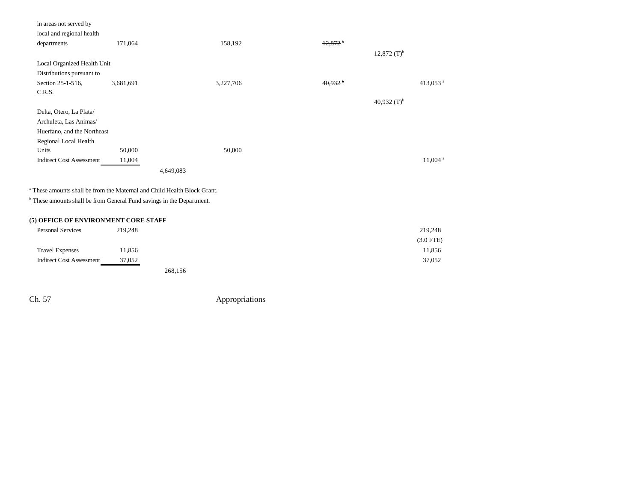| in areas not served by          |           |           |           |                       |                           |                       |
|---------------------------------|-----------|-----------|-----------|-----------------------|---------------------------|-----------------------|
| local and regional health       |           |           |           |                       |                           |                       |
| departments                     | 171,064   |           | 158,192   | $+2,872$              |                           |                       |
|                                 |           |           |           |                       | $12,872$ (T) <sup>b</sup> |                       |
| Local Organized Health Unit     |           |           |           |                       |                           |                       |
| Distributions pursuant to       |           |           |           |                       |                           |                       |
| Section 25-1-516,               | 3,681,691 |           | 3,227,706 | $40.932$ <sup>b</sup> |                           | 413,053 <sup>a</sup>  |
| C.R.S.                          |           |           |           |                       |                           |                       |
|                                 |           |           |           |                       | 40,932 $(T)^{b}$          |                       |
| Delta, Otero, La Plata/         |           |           |           |                       |                           |                       |
| Archuleta, Las Animas/          |           |           |           |                       |                           |                       |
| Huerfano, and the Northeast     |           |           |           |                       |                           |                       |
| Regional Local Health           |           |           |           |                       |                           |                       |
| Units                           | 50,000    |           | 50,000    |                       |                           |                       |
| <b>Indirect Cost Assessment</b> | 11,004    |           |           |                       |                           | $11,004$ <sup>a</sup> |
|                                 |           | 4,649,083 |           |                       |                           |                       |

a These amounts shall be from the Maternal and Child Health Block Grant.

b These amounts shall be from General Fund savings in the Department.

## **(5) OFFICE OF ENVIRONMENT CORE STAFF**

| <b>Personal Services</b>        | 219,248 |         | 219,248     |
|---------------------------------|---------|---------|-------------|
|                                 |         |         | $(3.0$ FTE) |
| <b>Travel Expenses</b>          | 11,856  |         | 11,856      |
| <b>Indirect Cost Assessment</b> | 37,052  |         | 37,052      |
|                                 |         | 268.156 |             |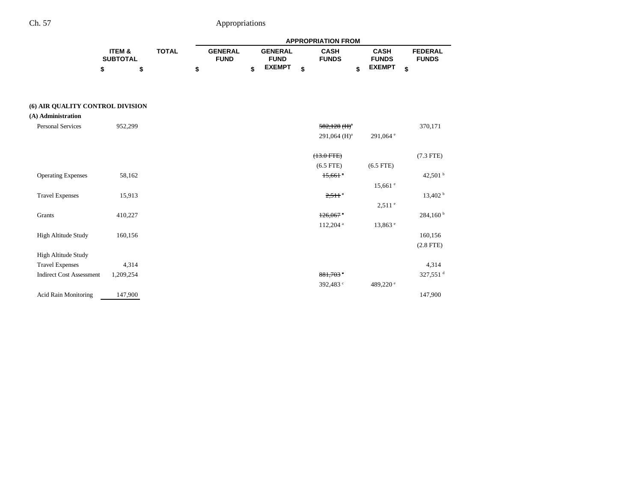|                                  |                           |              | <b>APPROPRIATION FROM</b> |                               |    |                               |    |                             |                             |                                |  |
|----------------------------------|---------------------------|--------------|---------------------------|-------------------------------|----|-------------------------------|----|-----------------------------|-----------------------------|--------------------------------|--|
|                                  | ITEM &<br><b>SUBTOTAL</b> | <b>TOTAL</b> |                           | <b>GENERAL</b><br><b>FUND</b> |    | <b>GENERAL</b><br><b>FUND</b> |    | <b>CASH</b><br><b>FUNDS</b> | <b>CASH</b><br><b>FUNDS</b> | <b>FEDERAL</b><br><b>FUNDS</b> |  |
|                                  | \$                        | \$           | \$                        |                               | \$ | <b>EXEMPT</b>                 | \$ | \$                          | <b>EXEMPT</b>               | \$                             |  |
| (6) AIR QUALITY CONTROL DIVISION |                           |              |                           |                               |    |                               |    |                             |                             |                                |  |
| (A) Administration               |                           |              |                           |                               |    |                               |    |                             |                             |                                |  |
| <b>Personal Services</b>         | 952,299                   |              |                           |                               |    |                               |    | $582,128$ (H) <sup>a</sup>  |                             | 370,171                        |  |
|                                  |                           |              |                           |                               |    |                               |    | 291,064 $(H)^a$             | 291,064 °                   |                                |  |
|                                  |                           |              |                           |                               |    |                               |    | $(13.0$ FTE)                |                             | $(7.3$ FTE)                    |  |
|                                  |                           |              |                           |                               |    |                               |    | $(6.5$ FTE)                 | $(6.5$ FTE)                 |                                |  |
| <b>Operating Expenses</b>        | 58,162                    |              |                           |                               |    |                               |    | $15,661$ <sup>a</sup>       |                             | 42,501 $^{\rm b}$              |  |
|                                  |                           |              |                           |                               |    |                               |    |                             | $15,661$ $\degree$          |                                |  |
| <b>Travel Expenses</b>           | 15,913                    |              |                           |                               |    |                               |    | $2.511$ $\degree$           |                             | 13,402 h                       |  |
|                                  |                           |              |                           |                               |    |                               |    |                             | $2,511$ $^{\circ}$          |                                |  |
| Grants                           | 410,227                   |              |                           |                               |    |                               |    | $126.067$ <sup>a</sup>      |                             | $284,160^{\text{ b}}$          |  |
|                                  |                           |              |                           |                               |    |                               |    | 112,204 <sup>a</sup>        | 13,863 e                    |                                |  |
| High Altitude Study              | 160,156                   |              |                           |                               |    |                               |    |                             |                             | 160,156                        |  |
|                                  |                           |              |                           |                               |    |                               |    |                             |                             | $(2.8$ FTE)                    |  |
| High Altitude Study              |                           |              |                           |                               |    |                               |    |                             |                             |                                |  |
| <b>Travel Expenses</b>           | 4,314                     |              |                           |                               |    |                               |    |                             |                             | 4,314                          |  |
| <b>Indirect Cost Assessment</b>  | 1,209,254                 |              |                           |                               |    |                               |    | $881.703$ <sup>c</sup>      |                             | 327,551 <sup>d</sup>           |  |
|                                  |                           |              |                           |                               |    |                               |    | 392,483 <sup>c</sup>        | 489,220 <sup>e</sup>        |                                |  |

Acid Rain Monitoring 147,900 1147,900 147,900 147,900 147,900 147,900 147,900 147,900 147,900 147,900 147,900 15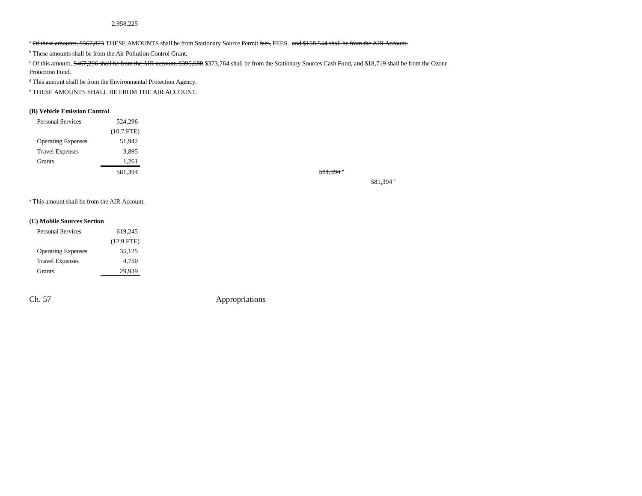<sup>a</sup> Of these amounts, \$567,823 THESE AMOUNTS shall be from Stationary Source Permit fees, FEES. and \$158,544 shall be from the AIR Account.

<sup>b</sup> These amounts shall be from the Air Pollution Control Grant.

<sup>c</sup> Of this amount, \$467,296 shall be from the AIR account, \$395,688 \$373,764 shall be from the Stationary Sources Cash Fund, and \$18,719 shall be from the Ozone Protection Fund.

d This amount shall be from the Environmental Protection Agency.

e THESE AMOUNTS SHALL BE FROM THE AIR ACCOUNT.

#### **(B) Vehicle Emission Control**

| 524,296      |
|--------------|
| $(10.7$ FTE) |
| 51,942       |
| 3,895        |
| 1,261        |
| 581,394      |
|              |

581,394 a

581,394 a

a This amount shall be from the AIR Account.

#### **(C) Mobile Sources Section**

| <b>Personal Services</b>  | 619,245      |  |  |  |  |
|---------------------------|--------------|--|--|--|--|
|                           | $(12.9$ FTE) |  |  |  |  |
| <b>Operating Expenses</b> | 35,125       |  |  |  |  |
| <b>Travel Expenses</b>    | 4,750        |  |  |  |  |
| <b>Grants</b>             | 29.939       |  |  |  |  |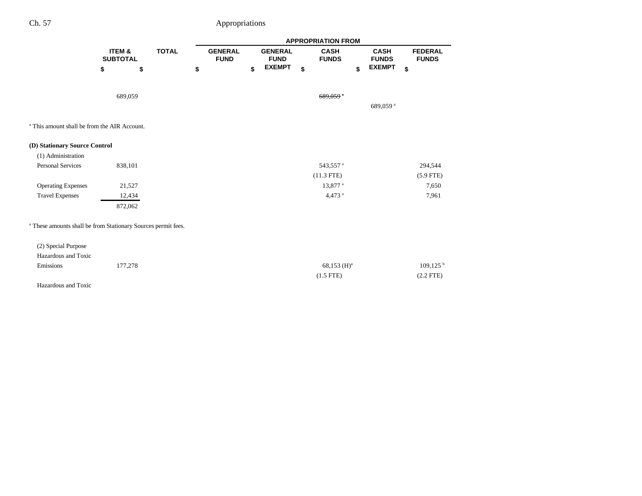|                                                                          |                           |              |    | <b>APPROPRIATION FROM</b>     |    |                               |    |                             |                             |    |                                |  |
|--------------------------------------------------------------------------|---------------------------|--------------|----|-------------------------------|----|-------------------------------|----|-----------------------------|-----------------------------|----|--------------------------------|--|
|                                                                          | ITEM &<br><b>SUBTOTAL</b> | <b>TOTAL</b> |    | <b>GENERAL</b><br><b>FUND</b> |    | <b>GENERAL</b><br><b>FUND</b> |    | <b>CASH</b><br><b>FUNDS</b> | <b>CASH</b><br><b>FUNDS</b> |    | <b>FEDERAL</b><br><b>FUNDS</b> |  |
|                                                                          | \$                        | \$           | \$ |                               | \$ | <b>EXEMPT</b>                 | \$ | \$                          | <b>EXEMPT</b>               | \$ |                                |  |
|                                                                          | 689,059                   |              |    |                               |    |                               |    | $689,059$ <sup>a</sup>      |                             |    |                                |  |
|                                                                          |                           |              |    |                               |    |                               |    |                             | 689,059 <sup>a</sup>        |    |                                |  |
| <sup>a</sup> This amount shall be from the AIR Account.                  |                           |              |    |                               |    |                               |    |                             |                             |    |                                |  |
| (D) Stationary Source Control                                            |                           |              |    |                               |    |                               |    |                             |                             |    |                                |  |
| (1) Administration                                                       |                           |              |    |                               |    |                               |    |                             |                             |    |                                |  |
| <b>Personal Services</b>                                                 | 838,101                   |              |    |                               |    |                               |    | 543,557 <sup>a</sup>        |                             |    | 294,544                        |  |
|                                                                          |                           |              |    |                               |    |                               |    | $(11.3$ FTE)                |                             |    | $(5.9$ FTE)                    |  |
| <b>Operating Expenses</b>                                                | 21,527                    |              |    |                               |    |                               |    | 13,877 <sup>a</sup>         |                             |    | 7,650                          |  |
| <b>Travel Expenses</b>                                                   | 12,434                    |              |    |                               |    |                               |    | 4,473 <sup>a</sup>          |                             |    | 7,961                          |  |
|                                                                          | 872,062                   |              |    |                               |    |                               |    |                             |                             |    |                                |  |
| <sup>a</sup> These amounts shall be from Stationary Sources permit fees. |                           |              |    |                               |    |                               |    |                             |                             |    |                                |  |
| (2) Special Purpose                                                      |                           |              |    |                               |    |                               |    |                             |                             |    |                                |  |
| Hazardous and Toxic                                                      |                           |              |    |                               |    |                               |    |                             |                             |    |                                |  |
| Emissions                                                                | 177,278                   |              |    |                               |    |                               |    | $68,153 \ (H)^a$            |                             |    | $109, 125$ <sup>b</sup>        |  |
|                                                                          |                           |              |    |                               |    |                               |    | $(1.5$ FTE)                 |                             |    | $(2.2$ FTE)                    |  |
| Hazardous and Toxic                                                      |                           |              |    |                               |    |                               |    |                             |                             |    |                                |  |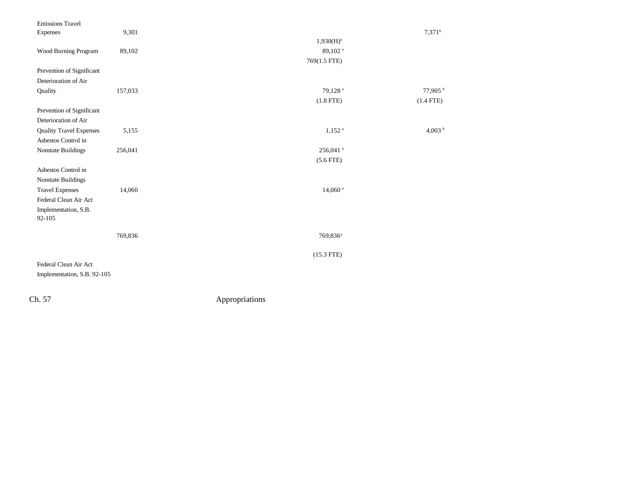| <b>Emissions Travel</b>        |         |                        |                     |
|--------------------------------|---------|------------------------|---------------------|
| Expenses                       | 9,301   |                        | $7,371^b$           |
|                                |         | $1,930(H)^a$           |                     |
| Wood Burning Program           | 89,102  | 89,102 <sup>a</sup>    |                     |
|                                |         | 769(1.5 FTE)           |                     |
| Prevention of Significant      |         |                        |                     |
| Deterioration of Air           |         |                        |                     |
| Quality                        | 157,033 | 79,128 <sup>a</sup>    | 77,905 <sup>b</sup> |
|                                |         | $(1.8$ FTE)            | $(1.4$ FTE)         |
| Prevention of Significant      |         |                        |                     |
| Deterioration of Air           |         |                        |                     |
| <b>Quality Travel Expenses</b> | 5,155   | $1,152$ <sup>a</sup>   | 4,003 $^{\rm b}$    |
| Asbestos Control in            |         |                        |                     |
| Nonstate Buildings             | 256,041 | $256,041$ <sup>a</sup> |                     |
|                                |         | $(5.6$ FTE)            |                     |
| Asbestos Control in            |         |                        |                     |
| Nonstate Buildings             |         |                        |                     |
| <b>Travel Expenses</b>         | 14,060  | $14,060$ <sup>a</sup>  |                     |
| Federal Clean Air Act          |         |                        |                     |
| Implementation, S.B.           |         |                        |                     |
| 92-105                         |         |                        |                     |
|                                |         |                        |                     |
|                                | 769,836 | 769,836 <sup>a</sup>   |                     |
|                                |         | $(15.3$ FTE)           |                     |
| Federal Clean Air Act          |         |                        |                     |
|                                |         |                        |                     |
| Implementation, S.B. 92-105    |         |                        |                     |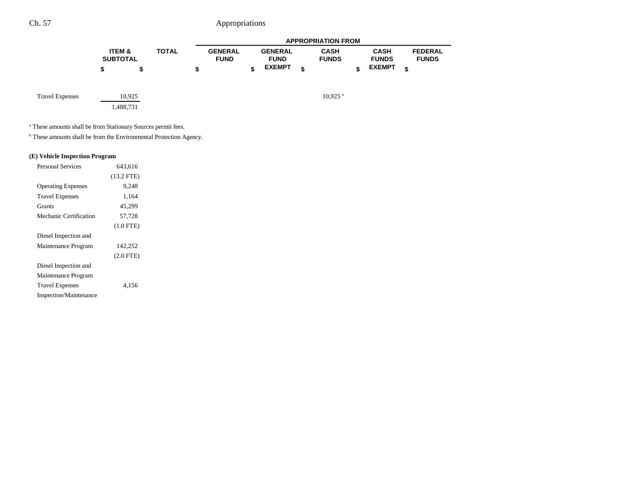|                        |                           |        |              |   |                               |   |                                                |   | <b>APPROPRIATION FROM</b>   |                                              |                                      |  |
|------------------------|---------------------------|--------|--------------|---|-------------------------------|---|------------------------------------------------|---|-----------------------------|----------------------------------------------|--------------------------------------|--|
|                        | ITEM &<br><b>SUBTOTAL</b> |        | <b>TOTAL</b> | æ | <b>GENERAL</b><br><b>FUND</b> | ¢ | <b>GENERAL</b><br><b>FUND</b><br><b>EXEMPT</b> | ¢ | <b>CASH</b><br><b>FUNDS</b> | <b>CASH</b><br><b>FUNDS</b><br><b>EXEMPT</b> | <b>FEDERAL</b><br><b>FUNDS</b><br>\$ |  |
|                        |                           |        |              |   |                               |   |                                                |   |                             |                                              |                                      |  |
| <b>Travel Expenses</b> |                           | 10,925 |              |   |                               |   |                                                |   | $10.925$ <sup>a</sup>       |                                              |                                      |  |

1,488,731

a These amounts shall be from Stationary Sources permit fees.

 $<sup>b</sup>$  These amounts shall be from the Environmental Protection Agency.</sup>

### **(E) Vehicle Inspection Program**

| <b>Personal Services</b>  | 643.616        |  |
|---------------------------|----------------|--|
|                           | $(13.2$ FTE)   |  |
| <b>Operating Expenses</b> | 9.248          |  |
| <b>Travel Expenses</b>    | 1,164          |  |
| <b>Grants</b>             | 45.299         |  |
| Mechanic Certification    | 57.728         |  |
|                           | $(1.0$ FTE)    |  |
| Diesel Inspection and     |                |  |
| Maintenance Program       | 142,252        |  |
|                           | $(2.0$ FTE $)$ |  |
| Diesel Inspection and     |                |  |
| Maintenance Program       |                |  |
| <b>Travel Expenses</b>    | 4.156          |  |
| Inspection/Maintenance    |                |  |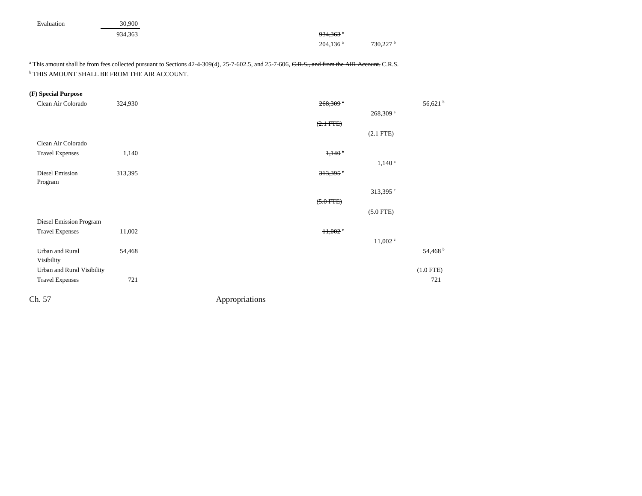| Evaluation | 30,900 |
|------------|--------|
|            |        |

934,363 **934,363** and 934,363 and 934,363 and 934,363 and 934,363 and 934,363 and 934,363 and 934,363 and 934,363 and 934,363 and 934,363 and 934,363 and 934,363 and 934,363 and 934,363 and 934,363 and 934,363 and 934,363 204,136<sup>a</sup> 730,227<sup>b</sup>

<sup>a</sup> This amount shall be from fees collected pursuant to Sections 42-4-309(4), 25-7-602.5, and 25-7-606, C.R.S., and from the AIR Account. C.R.S. b THIS AMOUNT SHALL BE FROM THE AIR ACCOUNT.

## **(F) Special Purpose**

| Clean Air Colorado         | 324,930 | $268,309$ <sup>a</sup> |                      | 56,621 <sup>b</sup> |
|----------------------------|---------|------------------------|----------------------|---------------------|
|                            |         |                        | 268,309 <sup>a</sup> |                     |
|                            |         | $(2.1 - FFE)$          |                      |                     |
|                            |         |                        | $(2.1$ FTE)          |                     |
| Clean Air Colorado         |         |                        |                      |                     |
| <b>Travel Expenses</b>     | 1,140   | $1,140$ $a$            |                      |                     |
|                            |         |                        | $1,140^{\circ}$      |                     |
| Diesel Emission            | 313,395 | $313,395$ <sup>e</sup> |                      |                     |
| Program                    |         |                        |                      |                     |
|                            |         |                        | 313,395 $\degree$    |                     |
|                            |         | $(5.0$ FTE)            |                      |                     |
|                            |         |                        | $(5.0$ FTE)          |                     |
| Diesel Emission Program    |         |                        |                      |                     |
| <b>Travel Expenses</b>     | 11,002  | 11,002                 |                      |                     |
|                            |         |                        | $11,002$ $\degree$   |                     |
| Urban and Rural            | 54,468  |                        |                      | 54,468 <sup>b</sup> |
| Visibility                 |         |                        |                      |                     |
| Urban and Rural Visibility |         |                        |                      | $(1.0$ FTE)         |
| <b>Travel Expenses</b>     | 721     |                        |                      | 721                 |
|                            |         |                        |                      |                     |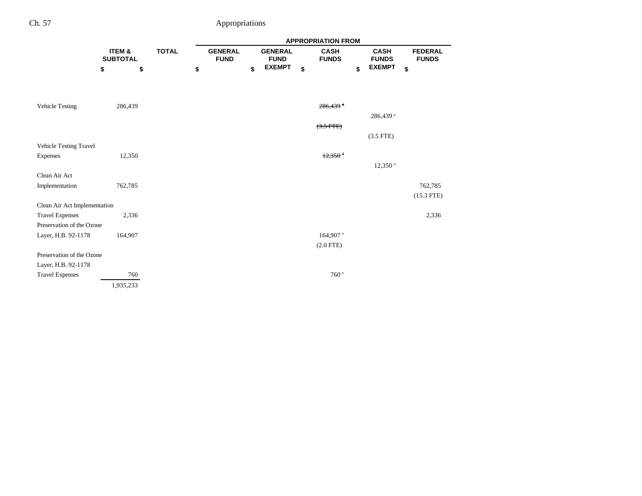|                                                        |                           |              | <b>APPROPRIATION FROM</b> |                               |                               |    |                             |    |                             |                                |
|--------------------------------------------------------|---------------------------|--------------|---------------------------|-------------------------------|-------------------------------|----|-----------------------------|----|-----------------------------|--------------------------------|
|                                                        | ITEM &<br><b>SUBTOTAL</b> | <b>TOTAL</b> |                           | <b>GENERAL</b><br><b>FUND</b> | <b>GENERAL</b><br><b>FUND</b> |    | <b>CASH</b><br><b>FUNDS</b> |    | <b>CASH</b><br><b>FUNDS</b> | <b>FEDERAL</b><br><b>FUNDS</b> |
|                                                        | \$<br>\$                  |              | \$                        | \$                            | <b>EXEMPT</b>                 | \$ |                             | \$ | <b>EXEMPT</b>               | \$                             |
|                                                        |                           |              |                           |                               |                               |    |                             |    |                             |                                |
| <b>Vehicle Testing</b>                                 | 286,439                   |              |                           |                               |                               |    | $286,439$ <sup>d</sup>      |    |                             |                                |
|                                                        |                           |              |                           |                               |                               |    |                             |    | 286,439 <sup>a</sup>        |                                |
|                                                        |                           |              |                           |                               |                               |    | $(3.5$ FTE)                 |    |                             |                                |
|                                                        |                           |              |                           |                               |                               |    |                             |    | $(3.5$ FTE)                 |                                |
| Vehicle Testing Travel                                 |                           |              |                           |                               |                               |    |                             |    |                             |                                |
| Expenses                                               | 12,350                    |              |                           |                               |                               |    | $12,350$ <sup>d</sup>       |    |                             |                                |
|                                                        |                           |              |                           |                               |                               |    |                             |    | $12,350$ <sup>a</sup>       |                                |
| Clean Air Act                                          |                           |              |                           |                               |                               |    |                             |    |                             |                                |
| Implementation                                         | 762,785                   |              |                           |                               |                               |    |                             |    |                             | 762,785                        |
|                                                        |                           |              |                           |                               |                               |    |                             |    |                             | $(15.3$ FTE)                   |
| Clean Air Act Implementation<br><b>Travel Expenses</b> | 2,336                     |              |                           |                               |                               |    |                             |    |                             | 2,336                          |
| Preservation of the Ozone                              |                           |              |                           |                               |                               |    |                             |    |                             |                                |
| Layer, H.B. 92-1178                                    | 164,907                   |              |                           |                               |                               |    | $164,907$ e                 |    |                             |                                |
|                                                        |                           |              |                           |                               |                               |    | $(2.0$ FTE)                 |    |                             |                                |
| Preservation of the Ozone                              |                           |              |                           |                               |                               |    |                             |    |                             |                                |
| Layer, H.B. 92-1178                                    |                           |              |                           |                               |                               |    |                             |    |                             |                                |
| <b>Travel Expenses</b>                                 | 760                       |              |                           |                               |                               |    | 760 <sup>e</sup>            |    |                             |                                |
|                                                        | 1,935,233                 |              |                           |                               |                               |    |                             |    |                             |                                |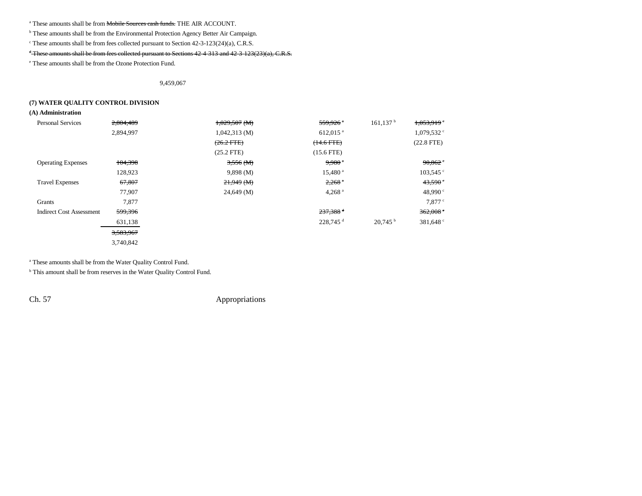<sup>a</sup> These amounts shall be from <del>Mobile Sources cash funds.</del> THE AIR ACCOUNT.

<sup>b</sup> These amounts shall be from the Environmental Protection Agency Better Air Campaign.

c These amounts shall be from fees collected pursuant to Section 42-3-123(24)(a), C.R.S.

### <sup>d</sup> These amounts shall be from fees collected pursuant to Sections 42-4-313 and 42-3-123(23)(a), C.R.S.

e These amounts shall be from the Ozone Protection Fund.

9,459,067

#### **(7) WATER QUALITY CONTROL DIVISION**

**(A) Administration**

| <b>Personal Services</b>        | 2,804,489 | $1,029,507$ (M) | $559,926$ <sup>a</sup> | $161, 137$ <sup>b</sup> | 1,053,919                |
|---------------------------------|-----------|-----------------|------------------------|-------------------------|--------------------------|
|                                 | 2,894,997 | 1,042,313(M)    | $612,015$ <sup>a</sup> |                         | $1,079,532$ <sup>c</sup> |
|                                 |           | $(26.2$ FTE)    | $(14.6$ FTE $)$        |                         | $(22.8$ FTE)             |
|                                 |           | $(25.2$ FTE)    | $(15.6$ FTE)           |                         |                          |
| <b>Operating Expenses</b>       | 104,398   | 3,556(M)        | $9,980$ <sup>a</sup>   |                         | 90,862                   |
|                                 | 128,923   | 9,898(M)        | $15,480$ <sup>a</sup>  |                         | $103,545$ °              |
| <b>Travel Expenses</b>          | 67,807    | $21,949$ (M)    | $2,268$ <sup>a</sup>   |                         | 43,590                   |
|                                 | 77,907    | 24,649(M)       | $4,268$ <sup>a</sup>   |                         | 48,990 °                 |
| Grants                          | 7,877     |                 |                        |                         | $7.877$ $\degree$        |
| <b>Indirect Cost Assessment</b> | 599,396   |                 | $237,388$ <sup>d</sup> |                         | 362,008                  |
|                                 | 631,138   |                 | $228.745$ <sup>d</sup> | 20.745 <sup>b</sup>     | 381,648 <sup>c</sup>     |
|                                 | 3,583,967 |                 |                        |                         |                          |
|                                 | 3,740,842 |                 |                        |                         |                          |

a These amounts shall be from the Water Quality Control Fund.

<sup>b</sup> This amount shall be from reserves in the Water Quality Control Fund.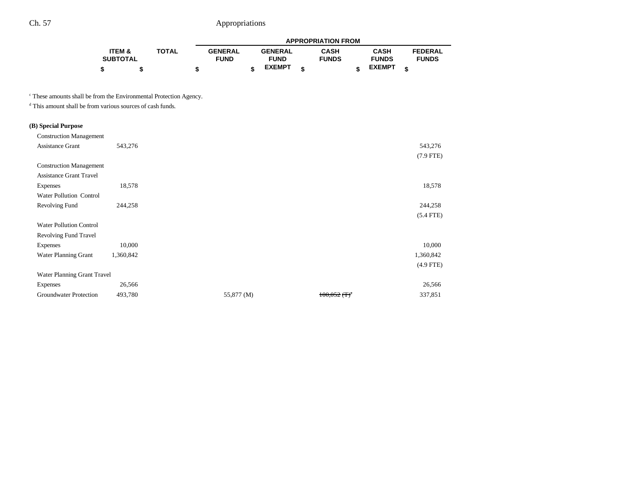|                 |              | <b>APPROPRIATION FROM</b> |  |                |  |              |  |               |                |  |
|-----------------|--------------|---------------------------|--|----------------|--|--------------|--|---------------|----------------|--|
| ITEM &          | <b>TOTAL</b> | <b>GENERAL</b>            |  | <b>GENERAL</b> |  | <b>CASH</b>  |  | <b>CASH</b>   | <b>FEDERAL</b> |  |
| <b>SUBTOTAL</b> |              | <b>FUND</b>               |  | <b>FUND</b>    |  | <b>FUNDS</b> |  | <b>FUNDS</b>  | <b>FUNDS</b>   |  |
|                 |              |                           |  | <b>EXEMPT</b>  |  |              |  | <b>EXEMPT</b> |                |  |

c These amounts shall be from the Environmental Protection Agency.

d This amount shall be from various sources of cash funds.

## **(B) Special Purpose**

| <b>Construction Management</b> |           |            |                            |             |
|--------------------------------|-----------|------------|----------------------------|-------------|
| <b>Assistance Grant</b>        | 543,276   |            |                            |             |
|                                |           |            |                            | $(7.9$ FTE) |
| <b>Construction Management</b> |           |            |                            |             |
| <b>Assistance Grant Travel</b> |           |            |                            |             |
| <b>Expenses</b>                | 18,578    |            |                            |             |
| Water Pollution Control        |           |            |                            |             |
| Revolving Fund                 | 244,258   |            |                            |             |
|                                |           |            |                            | $(5.4$ FTE) |
| <b>Water Pollution Control</b> |           |            |                            |             |
| <b>Revolving Fund Travel</b>   |           |            |                            |             |
| Expenses                       | 10,000    |            |                            |             |
| Water Planning Grant           | 1,360,842 |            |                            | 1,360,842   |
|                                |           |            |                            | $(4.9$ FTE) |
| Water Planning Grant Travel    |           |            |                            |             |
| <b>Expenses</b>                | 26,566    |            |                            |             |
| Groundwater Protection         | 493,780   | 55,877 (M) | $100,052$ (T) <sup>a</sup> |             |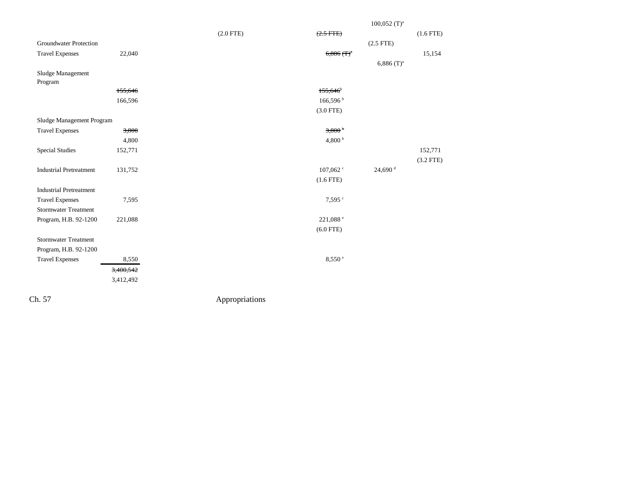|                                |           |             |                         | $100,052$ (T) <sup>a</sup> |             |
|--------------------------------|-----------|-------------|-------------------------|----------------------------|-------------|
|                                |           | $(2.0$ FTE) | $(2.5$ FTE)             |                            | $(1.6$ FTE) |
| <b>Groundwater Protection</b>  |           |             |                         | $(2.5$ FTE)                |             |
| <b>Travel Expenses</b>         | 22,040    |             | $6,886 \, (\text{T})^3$ |                            | 15,154      |
|                                |           |             |                         | $6,886$ (T) <sup>a</sup>   |             |
| Sludge Management              |           |             |                         |                            |             |
| Program                        |           |             |                         |                            |             |
|                                | 155,646   |             | $155,646$ <sup>b</sup>  |                            |             |
|                                | 166,596   |             | $166,596$ b             |                            |             |
|                                |           |             | $(3.0$ FTE)             |                            |             |
| Sludge Management Program      |           |             |                         |                            |             |
| <b>Travel Expenses</b>         | 3,800     |             | 3,800 <sup>b</sup>      |                            |             |
|                                | 4,800     |             | 4,800 $^{\rm b}$        |                            |             |
| <b>Special Studies</b>         | 152,771   |             |                         |                            | 152,771     |
|                                |           |             |                         |                            | $(3.2$ FTE) |
| <b>Industrial Pretreatment</b> | 131,752   |             | 107,062 c               | $24,690$ <sup>d</sup>      |             |
|                                |           |             | $(1.6$ FTE)             |                            |             |
| <b>Industrial Pretreatment</b> |           |             |                         |                            |             |
| <b>Travel Expenses</b>         | 7,595     |             | 7.595c                  |                            |             |
| <b>Stormwater Treatment</b>    |           |             |                         |                            |             |
| Program, H.B. 92-1200          | 221,088   |             | 221,088 e               |                            |             |
|                                |           |             | $(6.0$ FTE)             |                            |             |
| <b>Stormwater Treatment</b>    |           |             |                         |                            |             |
| Program, H.B. 92-1200          |           |             |                         |                            |             |
| <b>Travel Expenses</b>         | 8,550     |             | 8,550 °                 |                            |             |
|                                | 3,400,542 |             |                         |                            |             |
|                                | 3,412,492 |             |                         |                            |             |
|                                |           |             |                         |                            |             |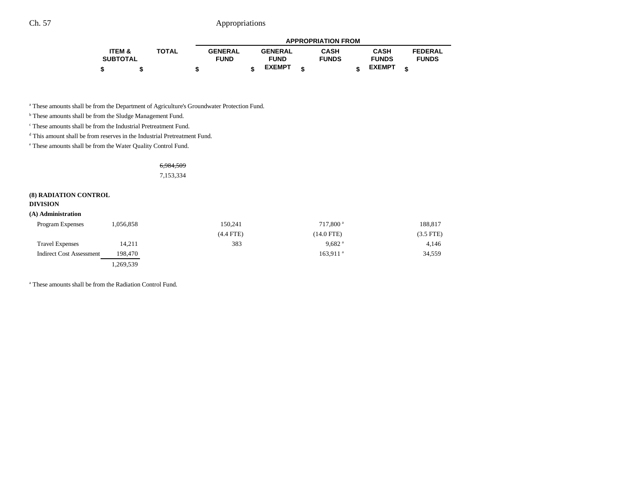|                   |              |                |                | <b>APPROPRIATION FROM</b> |               |                |
|-------------------|--------------|----------------|----------------|---------------------------|---------------|----------------|
| <b>ITEM &amp;</b> | <b>TOTAL</b> | <b>GENERAL</b> | <b>GENERAL</b> | <b>CASH</b>               | <b>CASH</b>   | <b>FEDERAL</b> |
| <b>SUBTOTAL</b>   |              | <b>FUND</b>    | <b>FUND</b>    | <b>FUNDS</b>              | <b>FUNDS</b>  | <b>FUNDS</b>   |
|                   |              |                | <b>EXEMPT</b>  |                           | <b>EXEMPT</b> |                |

a These amounts shall be from the Department of Agriculture's Groundwater Protection Fund.

**b** These amounts shall be from the Sludge Management Fund.

c These amounts shall be from the Industrial Pretreatment Fund.

d This amount shall be from reserves in the Industrial Pretreatment Fund.

e These amounts shall be from the Water Quality Control Fund.

6,984,509 7,153,334

#### **(8) RADIATION CONTROL**

#### **DIVISION**

#### **(A) Administration**

| <b>Program Expenses</b>         | 1,056,858 | 150.241     | 717.800 <sup>a</sup>   | 188,817   |
|---------------------------------|-----------|-------------|------------------------|-----------|
|                                 |           | $(4.4$ FTE) | $(14.0$ FTE)           | (3.5 FTE) |
| <b>Travel Expenses</b>          | 14,211    | 383         | $9,682$ <sup>a</sup>   | 4,146     |
| <b>Indirect Cost Assessment</b> | 198.470   |             | $163.911$ <sup>a</sup> | 34,559    |
|                                 | 1,269,539 |             |                        |           |

a These amounts shall be from the Radiation Control Fund.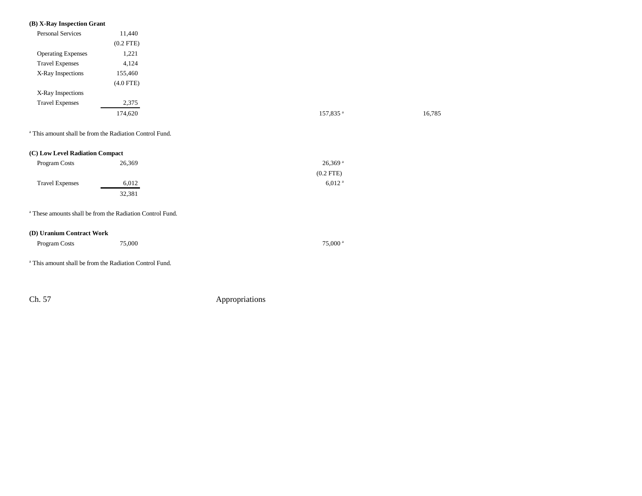### **(B) X-Ray Inspection Grant**

| <b>Personal Services</b>  | 11,440         |
|---------------------------|----------------|
|                           | $(0.2$ FTE $)$ |
| <b>Operating Expenses</b> | 1,221          |
| <b>Travel Expenses</b>    | 4,124          |
| X-Ray Inspections         | 155,460        |
|                           | $(4.0$ FTE)    |
| X-Ray Inspections         |                |
| <b>Travel Expenses</b>    | 2,375          |
|                           | 174,620        |
|                           |                |

a This amount shall be from the Radiation Control Fund.

| (C) Low Level Radiation Compact |        |                       |
|---------------------------------|--------|-----------------------|
| Program Costs                   | 26.369 | $26,369$ <sup>a</sup> |
|                                 |        | $(0.2$ FTE)           |
| <b>Travel Expenses</b>          | 6.012  | $6.012$ <sup>a</sup>  |
|                                 | 32,381 |                       |

a These amounts shall be from the Radiation Control Fund.

#### **(D) Uranium Contract Work**

| Program Costs | 75,000 |  | 75,000 <sup>a</sup> |
|---------------|--------|--|---------------------|
|---------------|--------|--|---------------------|

a This amount shall be from the Radiation Control Fund.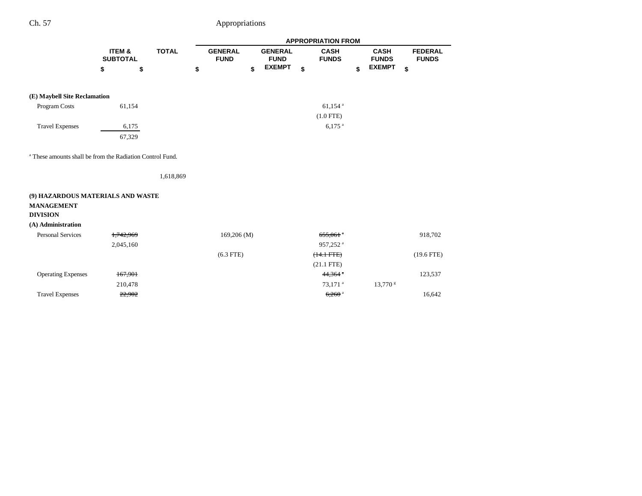|                                                                      |                           |              |                               |                               | <b>APPROPRIATION FROM</b>   |                             |                                |
|----------------------------------------------------------------------|---------------------------|--------------|-------------------------------|-------------------------------|-----------------------------|-----------------------------|--------------------------------|
|                                                                      | ITEM &<br><b>SUBTOTAL</b> | <b>TOTAL</b> | <b>GENERAL</b><br><b>FUND</b> | <b>GENERAL</b><br><b>FUND</b> | <b>CASH</b><br><b>FUNDS</b> | <b>CASH</b><br><b>FUNDS</b> | <b>FEDERAL</b><br><b>FUNDS</b> |
|                                                                      | \$                        | \$           | \$                            | \$<br><b>EXEMPT</b>           | \$                          | \$<br><b>EXEMPT</b>         | \$                             |
|                                                                      |                           |              |                               |                               |                             |                             |                                |
| (E) Maybell Site Reclamation                                         |                           |              |                               |                               |                             |                             |                                |
| Program Costs                                                        | 61,154                    |              |                               |                               | $61,154$ <sup>a</sup>       |                             |                                |
|                                                                      |                           |              |                               |                               | $(1.0$ FTE)                 |                             |                                |
|                                                                      |                           |              |                               |                               |                             |                             |                                |
| <b>Travel Expenses</b>                                               | 6,175                     |              |                               |                               | $6.175$ <sup>a</sup>        |                             |                                |
|                                                                      | 67,329                    |              |                               |                               |                             |                             |                                |
| <sup>a</sup> These amounts shall be from the Radiation Control Fund. |                           |              |                               |                               |                             |                             |                                |
|                                                                      |                           | 1,618,869    |                               |                               |                             |                             |                                |
| (9) HAZARDOUS MATERIALS AND WASTE                                    |                           |              |                               |                               |                             |                             |                                |
| <b>MANAGEMENT</b>                                                    |                           |              |                               |                               |                             |                             |                                |
| <b>DIVISION</b>                                                      |                           |              |                               |                               |                             |                             |                                |
| (A) Administration                                                   |                           |              |                               |                               |                             |                             |                                |
| <b>Personal Services</b>                                             | 1,742,969                 |              | $169,206$ (M)                 |                               | $655,061$ <sup>a</sup>      |                             | 918,702                        |
|                                                                      | 2,045,160                 |              |                               |                               | 957,252 <sup>a</sup>        |                             |                                |
|                                                                      |                           |              | $(6.3$ FTE)                   |                               | $(14.1 \text{ FFE})$        |                             | $(19.6$ FTE)                   |
|                                                                      |                           |              |                               |                               | $(21.1$ FTE)                |                             |                                |
| <b>Operating Expenses</b>                                            | 167,901                   |              |                               |                               | 44,364 $\degree$            |                             | 123,537                        |
|                                                                      | 210,478                   |              |                               |                               | 73,171 <sup>a</sup>         | $13,770$ s                  |                                |
| <b>Travel Expenses</b>                                               | 22,902                    |              |                               |                               | $6,260$ <sup>a</sup>        |                             | 16,642                         |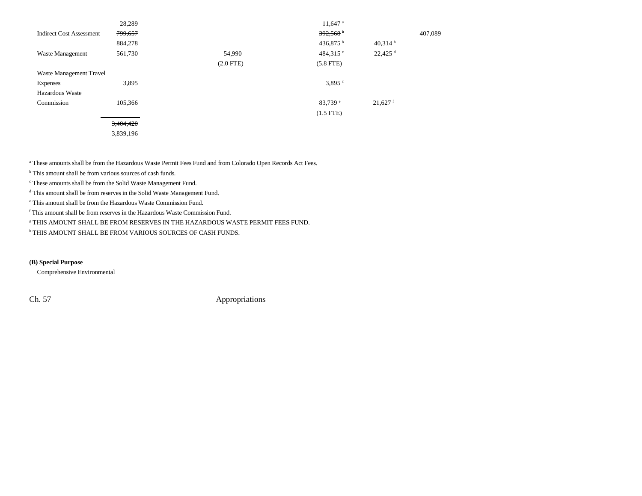|                                 | 28,289    |                | $11,647$ <sup>a</sup> |                       |         |
|---------------------------------|-----------|----------------|-----------------------|-----------------------|---------|
| <b>Indirect Cost Assessment</b> | 799,657   |                | 392,568               |                       | 407,089 |
|                                 | 884,278   |                | 436,875 b             | $40,314$ h            |         |
| Waste Management                | 561,730   | 54,990         | 484,315 $\degree$     | $22,425$ <sup>d</sup> |         |
|                                 |           | $(2.0$ FTE $)$ | $(5.8$ FTE)           |                       |         |
| Waste Management Travel         |           |                |                       |                       |         |
| <b>Expenses</b>                 | 3,895     |                | 3,895°                |                       |         |
| <b>Hazardous Waste</b>          |           |                |                       |                       |         |
| Commission                      | 105,366   |                | 83.739 e              | $21,627$ <sup>f</sup> |         |
|                                 |           |                | $(1.5$ FTE)           |                       |         |
|                                 | 3,404,420 |                |                       |                       |         |
|                                 | 3,839,196 |                |                       |                       |         |

a These amounts shall be from the Hazardous Waste Permit Fees Fund and from Colorado Open Records Act Fees.

<sup>b</sup> This amount shall be from various sources of cash funds.

c These amounts shall be from the Solid Waste Management Fund.

d This amount shall be from reserves in the Solid Waste Management Fund.

e This amount shall be from the Hazardous Waste Commission Fund.

f This amount shall be from reserves in the Hazardous Waste Commission Fund.

g THIS AMOUNT SHALL BE FROM RESERVES IN THE HAZARDOUS WASTE PERMIT FEES FUND.

h THIS AMOUNT SHALL BE FROM VARIOUS SOURCES OF CASH FUNDS.

### **(B) Special Purpose**

Comprehensive Environmental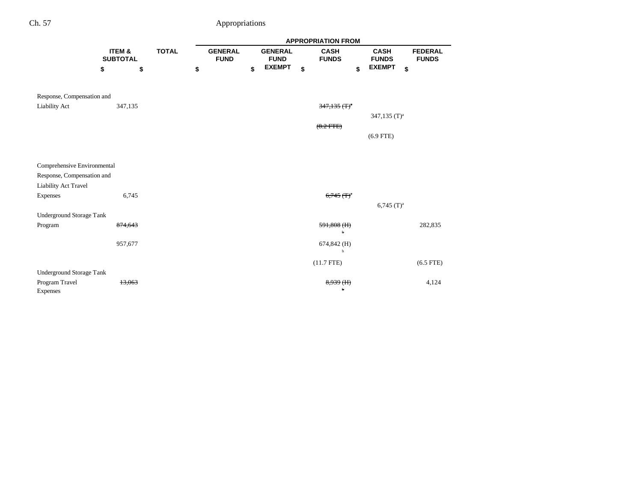|                             |                           |              |                               |                               | <b>APPROPRIATION FROM</b>   |                             |                                |
|-----------------------------|---------------------------|--------------|-------------------------------|-------------------------------|-----------------------------|-----------------------------|--------------------------------|
|                             | ITEM &<br><b>SUBTOTAL</b> | <b>TOTAL</b> | <b>GENERAL</b><br><b>FUND</b> | <b>GENERAL</b><br><b>FUND</b> | <b>CASH</b><br><b>FUNDS</b> | <b>CASH</b><br><b>FUNDS</b> | <b>FEDERAL</b><br><b>FUNDS</b> |
|                             | \$                        | \$           | \$                            | \$<br><b>EXEMPT</b>           | \$<br>\$                    | <b>EXEMPT</b><br>\$         |                                |
| Response, Compensation and  |                           |              |                               |                               |                             |                             |                                |
| <b>Liability Act</b>        | 347,135                   |              |                               |                               | $347,135$ (T) <sup>a</sup>  |                             |                                |
|                             |                           |              |                               |                               |                             | 347,135 $(T)^a$             |                                |
|                             |                           |              |                               |                               | $(8.2$ FTE)                 |                             |                                |
|                             |                           |              |                               |                               |                             | $(6.9$ FTE)                 |                                |
|                             |                           |              |                               |                               |                             |                             |                                |
|                             |                           |              |                               |                               |                             |                             |                                |
| Comprehensive Environmental |                           |              |                               |                               |                             |                             |                                |
| Response, Compensation and  |                           |              |                               |                               |                             |                             |                                |
| Liability Act Travel        |                           |              |                               |                               |                             |                             |                                |
| Expenses                    |                           | 6,745        |                               |                               | $6,745$ (T) <sup>a</sup>    |                             |                                |
|                             |                           |              |                               |                               |                             | $6,745$ (T) <sup>a</sup>    |                                |
| Underground Storage Tank    |                           |              |                               |                               |                             |                             |                                |
| Program                     | 874,643                   |              |                               |                               | $591,808$ (H)<br>h          |                             | 282,835                        |
|                             |                           |              |                               |                               |                             |                             |                                |
|                             | 957,677                   |              |                               |                               | 674,842 (H)<br>b            |                             |                                |
|                             |                           |              |                               |                               | $(11.7$ FTE)                |                             | $(6.5$ FTE)                    |
| Underground Storage Tank    |                           |              |                               |                               |                             |                             |                                |
| Program Travel              | 13,063                    |              |                               |                               | 8,939 (H)                   |                             | 4,124                          |
| Expenses                    |                           |              |                               |                               | 'n                          |                             |                                |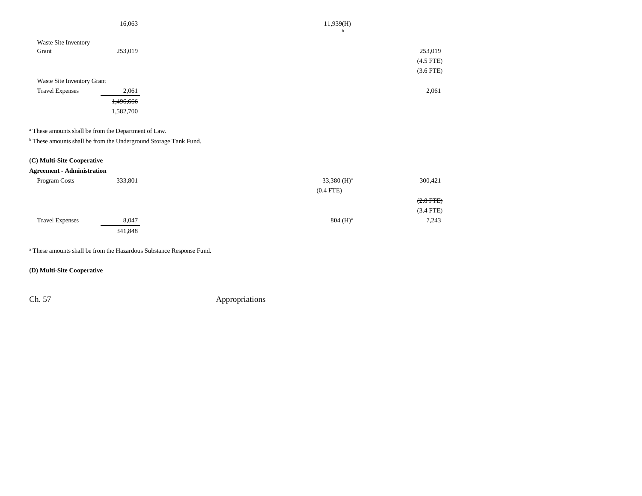|                            | 16,063    | 11,939(H)      |
|----------------------------|-----------|----------------|
| Waste Site Inventory       |           | b              |
| Grant                      | 253,019   | 253,019        |
|                            |           | $(4.5$ FTE $)$ |
|                            |           | $(3.6$ FTE)    |
| Waste Site Inventory Grant |           |                |
| <b>Travel Expenses</b>     | 2,061     | 2,061          |
|                            | 1,496,666 |                |
|                            | 1,582,700 |                |

a These amounts shall be from the Department of Law.

 $^{\rm b}$  These amounts shall be from the Underground Storage Tank Fund.

### **(C) Multi-Site Cooperative**

### **Agreement - Administration**

| Program Costs          | 333,801 | 33,380 $(H)^a$ | 300,421        |
|------------------------|---------|----------------|----------------|
|                        |         | $(0.4$ FTE)    |                |
|                        |         |                | $(2.8$ FTE $)$ |
|                        |         |                | $(3.4$ FTE)    |
| <b>Travel Expenses</b> | 8,047   | $804 \ (H)^a$  | 7,243          |
|                        | 341,848 |                |                |

a These amounts shall be from the Hazardous Substance Response Fund.

### **(D) Multi-Site Cooperative**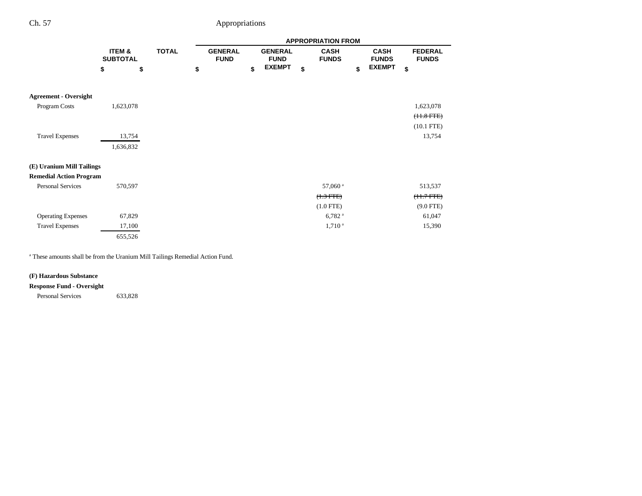|                                |                           |              |                               |                               | <b>APPROPRIATION FROM</b>   |                             |                                |  |
|--------------------------------|---------------------------|--------------|-------------------------------|-------------------------------|-----------------------------|-----------------------------|--------------------------------|--|
|                                | ITEM &<br><b>SUBTOTAL</b> | <b>TOTAL</b> | <b>GENERAL</b><br><b>FUND</b> | <b>GENERAL</b><br><b>FUND</b> | <b>CASH</b><br><b>FUNDS</b> | <b>CASH</b><br><b>FUNDS</b> | <b>FEDERAL</b><br><b>FUNDS</b> |  |
|                                | \$<br>\$                  |              | \$                            | \$<br><b>EXEMPT</b>           | \$                          | \$<br><b>EXEMPT</b>         | \$                             |  |
|                                |                           |              |                               |                               |                             |                             |                                |  |
| <b>Agreement - Oversight</b>   |                           |              |                               |                               |                             |                             |                                |  |
| Program Costs                  | 1,623,078                 |              |                               |                               |                             |                             | 1,623,078                      |  |
|                                |                           |              |                               |                               |                             |                             | $(11.8$ FTE $)$                |  |
|                                |                           |              |                               |                               |                             |                             | $(10.1$ FTE)                   |  |
| <b>Travel Expenses</b>         | 13,754                    |              |                               |                               |                             |                             | 13,754                         |  |
|                                | 1,636,832                 |              |                               |                               |                             |                             |                                |  |
| (E) Uranium Mill Tailings      |                           |              |                               |                               |                             |                             |                                |  |
| <b>Remedial Action Program</b> |                           |              |                               |                               |                             |                             |                                |  |
| Personal Services              | 570,597                   |              |                               |                               | 57,060 <sup>a</sup>         |                             | 513,537                        |  |
|                                |                           |              |                               |                               | $(1.3 FTE)$                 |                             | $(11.7 FTE)$                   |  |
|                                |                           |              |                               |                               | $(1.0$ FTE)                 |                             | $(9.0$ FTE)                    |  |
| <b>Operating Expenses</b>      | 67,829                    |              |                               |                               | $6,782$ <sup>a</sup>        |                             | 61,047                         |  |
| <b>Travel Expenses</b>         | 17,100                    |              |                               |                               | 1,710 <sup>a</sup>          |                             | 15,390                         |  |
|                                | 655,526                   |              |                               |                               |                             |                             |                                |  |

a These amounts shall be from the Uranium Mill Tailings Remedial Action Fund.

### **(F) Hazardous Substance**

### **Response Fund - Oversight**

Personal Services 633,828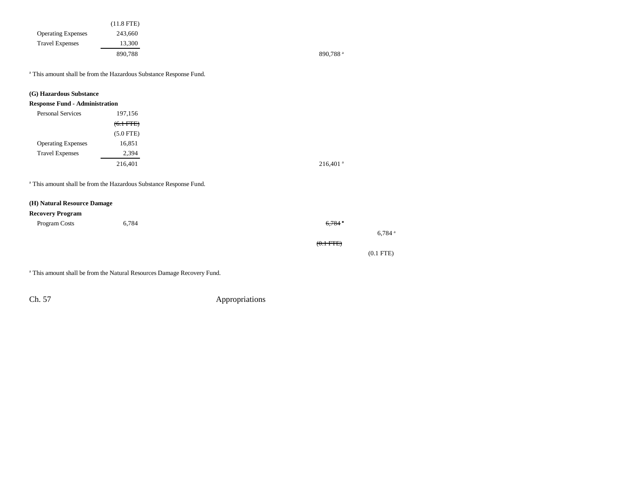|                           | $(11.8$ FTE) |
|---------------------------|--------------|
| <b>Operating Expenses</b> | 243.660      |
| <b>Travel Expenses</b>    | 13,300       |
|                           | 890,788      |

890,788 $a$ 

a This amount shall be from the Hazardous Substance Response Fund.

### **(G) Hazardous Substance**

### **Response Fund - Administration**

| <b>Personal Services</b>  | 197,156     |
|---------------------------|-------------|
|                           | $(6.1 FTE)$ |
|                           | $(5.0$ FTE) |
| <b>Operating Expenses</b> | 16,851      |
| <b>Travel Expenses</b>    | 2,394       |
|                           | 216,401     |

a This amount shall be from the Hazardous Substance Response Fund.

#### **(H) Natural Resource Damage**

#### **Recovery Program**

|                      |                    |       | $\cdot$       |
|----------------------|--------------------|-------|---------------|
|                      | $6,784$ $^{\circ}$ | 6,784 | Program Costs |
| $6,784$ <sup>a</sup> |                    |       |               |
|                      | $(0.1$ FTE $)$     |       |               |
| $(0.1$ FTE $)$       |                    |       |               |

a This amount shall be from the Natural Resources Damage Recovery Fund.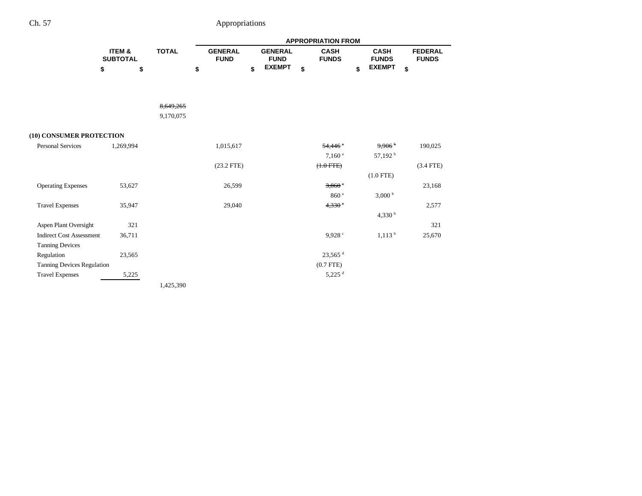|                                 |                                      |              | <b>APPROPRIATION FROM</b> |                               |    |                               |    |                             |    |                             |                                |
|---------------------------------|--------------------------------------|--------------|---------------------------|-------------------------------|----|-------------------------------|----|-----------------------------|----|-----------------------------|--------------------------------|
|                                 | <b>ITEM &amp;</b><br><b>SUBTOTAL</b> | <b>TOTAL</b> |                           | <b>GENERAL</b><br><b>FUND</b> |    | <b>GENERAL</b><br><b>FUND</b> |    | <b>CASH</b><br><b>FUNDS</b> |    | <b>CASH</b><br><b>FUNDS</b> | <b>FEDERAL</b><br><b>FUNDS</b> |
| \$                              | \$                                   |              | \$                        |                               | \$ | <b>EXEMPT</b>                 | \$ |                             | \$ | <b>EXEMPT</b>               | \$                             |
|                                 |                                      |              |                           |                               |    |                               |    |                             |    |                             |                                |
|                                 |                                      | 8.649.265    |                           |                               |    |                               |    |                             |    |                             |                                |
|                                 |                                      | 9,170,075    |                           |                               |    |                               |    |                             |    |                             |                                |
| (10) CONSUMER PROTECTION        |                                      |              |                           |                               |    |                               |    |                             |    |                             |                                |
| <b>Personal Services</b>        | 1,269,994                            |              |                           | 1,015,617                     |    |                               |    | 54,446 <sup>a</sup>         |    | $9,906$ <sup>b</sup>        | 190,025                        |
|                                 |                                      |              |                           |                               |    |                               |    | 7.160 <sup>a</sup>          |    | 57,192 <sup>b</sup>         |                                |
|                                 |                                      |              |                           | $(23.2$ FTE)                  |    |                               |    | $(+.0$ FTE $)$              |    |                             | $(3.4$ FTE)                    |
|                                 |                                      |              |                           |                               |    |                               |    |                             |    | $(1.0$ FTE)                 |                                |
| <b>Operating Expenses</b>       | 53,627                               |              |                           | 26,599                        |    |                               |    | $3,860$ $a$                 |    |                             | 23,168                         |
|                                 |                                      |              |                           |                               |    |                               |    | 860 <sup>a</sup>            |    | 3,000 <sup>b</sup>          |                                |
| <b>Travel Expenses</b>          | 35,947                               |              |                           | 29,040                        |    |                               |    | $4,330$ <sup>a</sup>        |    |                             | 2,577                          |
|                                 |                                      |              |                           |                               |    |                               |    |                             |    | 4,330 $^{\rm b}$            |                                |
| Aspen Plant Oversight           | 321                                  |              |                           |                               |    |                               |    |                             |    |                             | 321                            |
| <b>Indirect Cost Assessment</b> | 36,711                               |              |                           |                               |    |                               |    | 9.928 c                     |    | 1,113 <sup>b</sup>          | 25,670                         |
| <b>Tanning Devices</b>          |                                      |              |                           |                               |    |                               |    |                             |    |                             |                                |
| Regulation                      | 23,565                               |              |                           |                               |    |                               |    | $23,565$ <sup>d</sup>       |    |                             |                                |
| Tanning Devices Regulation      |                                      |              |                           |                               |    |                               |    | $(0.7$ FTE)                 |    |                             |                                |
| <b>Travel Expenses</b>          | 5,225                                |              |                           |                               |    |                               |    | $5,225$ <sup>d</sup>        |    |                             |                                |
|                                 |                                      | 1,425,390    |                           |                               |    |                               |    |                             |    |                             |                                |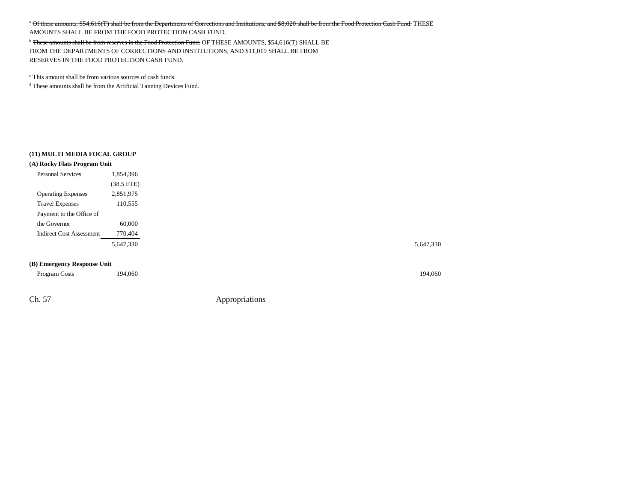<sup>a</sup> Of these amounts, \$54,616(T) shall be from the Departments of Corrections and Institutions, and \$8,020 shall be from the Food Protection Cash Fund. THESE

AMOUNTS SHALL BE FROM THE FOOD PROTECTION CASH FUND.

<sup>b</sup> These amounts shall be from reserves in the Food Protection Fund. OF THESE AMOUNTS, \$54,616(T) SHALL BE FROM THE DEPARTMENTS OF CORRECTIONS AND INSTITUTIONS, AND \$11,019 SHALL BE FROM RESERVES IN THE FOOD PROTECTION CASH FUND.

c This amount shall be from various sources of cash funds.

d These amounts shall be from the Artificial Tanning Devices Fund.

#### **(11) MULTI MEDIA FOCAL GROUP**

| (A) Rocky Flats Program Unit |           |
|------------------------------|-----------|
| <b>Personal Services</b>     | 1.854.396 |

|                           | $(38.5$ FTE) |
|---------------------------|--------------|
| <b>Operating Expenses</b> | 2.851.975    |
| <b>Travel Expenses</b>    | 110.555      |
| Payment to the Office of  |              |
| the Governor              | 60.000       |
| Indirect Cost Assessment  | 770,404      |
|                           | 5.647.330    |

5,647,330 5,647,330

#### **(B) Emergency Response Unit**

| Program Costs | 194,060 | 194,060 |
|---------------|---------|---------|
|               |         |         |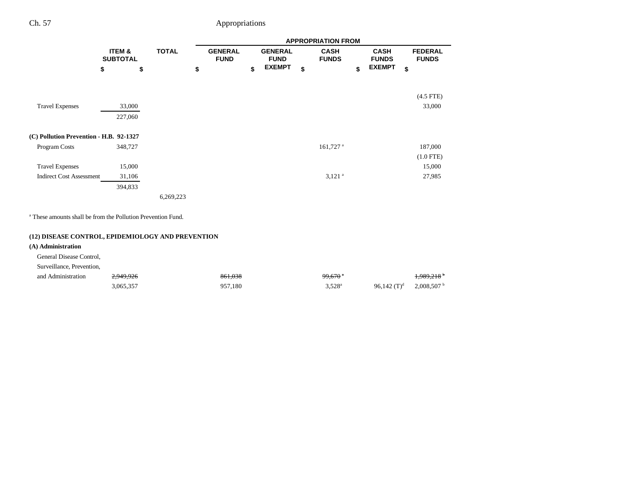|                                         |                   |                           |           |              |  |                     | <b>APPROPRIATION FROM</b> |                               |                               |                             |             |                             |  |                                |
|-----------------------------------------|-------------------|---------------------------|-----------|--------------|--|---------------------|---------------------------|-------------------------------|-------------------------------|-----------------------------|-------------|-----------------------------|--|--------------------------------|
|                                         |                   | ITEM &<br><b>SUBTOTAL</b> |           | <b>TOTAL</b> |  |                     |                           | <b>GENERAL</b><br><b>FUND</b> | <b>GENERAL</b><br><b>FUND</b> | <b>CASH</b><br><b>FUNDS</b> |             | <b>CASH</b><br><b>FUNDS</b> |  | <b>FEDERAL</b><br><b>FUNDS</b> |
|                                         | \$                | \$                        |           | \$           |  | \$<br><b>EXEMPT</b> | \$                        | \$                            | <b>EXEMPT</b>                 | \$                          |             |                             |  |                                |
|                                         |                   |                           |           |              |  |                     |                           |                               |                               |                             | $(4.5$ FTE) |                             |  |                                |
| <b>Travel Expenses</b>                  | 33,000<br>227,060 |                           |           |              |  |                     |                           |                               |                               |                             | 33,000      |                             |  |                                |
| (C) Pollution Prevention - H.B. 92-1327 |                   |                           |           |              |  |                     |                           |                               |                               |                             |             |                             |  |                                |
| Program Costs                           | 348,727           |                           |           |              |  |                     | $161,727$ <sup>a</sup>    |                               |                               |                             | 187,000     |                             |  |                                |
|                                         |                   |                           |           |              |  |                     |                           |                               |                               |                             | $(1.0$ FTE) |                             |  |                                |
| <b>Travel Expenses</b>                  | 15,000            |                           |           |              |  |                     |                           |                               |                               |                             | 15,000      |                             |  |                                |
| <b>Indirect Cost Assessment</b>         | 31,106            |                           |           |              |  |                     | $3,121$ <sup>a</sup>      |                               |                               |                             | 27,985      |                             |  |                                |
|                                         | 394,833           |                           |           |              |  |                     |                           |                               |                               |                             |             |                             |  |                                |
|                                         |                   |                           | 6,269,223 |              |  |                     |                           |                               |                               |                             |             |                             |  |                                |
|                                         |                   |                           |           |              |  |                     |                           |                               |                               |                             |             |                             |  |                                |

a These amounts shall be from the Pollution Prevention Fund.

### **(12) DISEASE CONTROL, EPIDEMIOLOGY AND PREVENTION**

### **(A) Administration**

### General Disease Control,

Surveillance, Prevention,

| and Administration | .949.926 | 861.038        | $99.670$ $^{\circ}$ |                | 1,989,218 |
|--------------------|----------|----------------|---------------------|----------------|-----------|
|                    | 35.357.د | )57.180<br>057 | $3,528^{\circ}$     | 96,142 $(T)^d$ | 2,008,507 |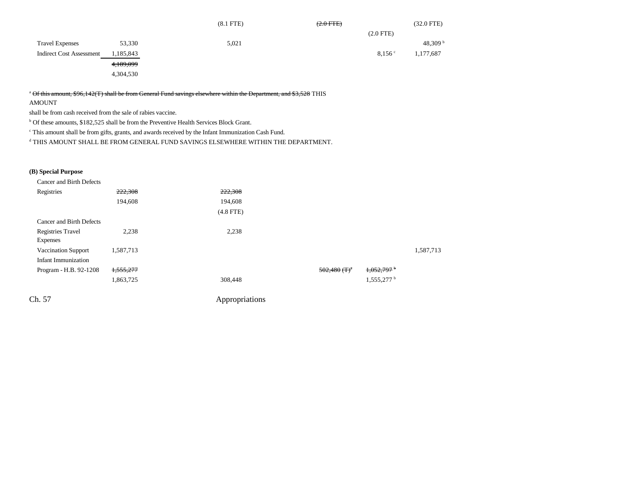|                                 |           | $(8.1$ FTE $)$ | $(2.0$ FTE $)$ | $(32.0$ FTE)      |
|---------------------------------|-----------|----------------|----------------|-------------------|
|                                 |           |                | $(2.0$ FTE)    |                   |
| <b>Travel Expenses</b>          | 53,330    | 5,021          |                | 48,309 $^{\rm b}$ |
| <b>Indirect Cost Assessment</b> | 1,185,843 |                | 8,156°         | 1,177,687         |
|                                 | 4,189,099 |                |                |                   |
|                                 | 4,304,530 |                |                |                   |

<sup>a</sup> Of this amount, \$96,142(T) shall be from General Fund savings elsewhere within the Department, and \$3,528 THIS

AMOUNT

shall be from cash received from the sale of rabies vaccine.

b Of these amounts, \$182,525 shall be from the Preventive Health Services Block Grant.

c This amount shall be from gifts, grants, and awards received by the Infant Immunization Cash Fund.

 $^{\rm d}$  THIS AMOUNT SHALL BE FROM GENERAL FUND SAVINGS ELSEWHERE WITHIN THE DEPARTMENT.

### **(B) Special Purpose**

| Cancer and Birth Defects   |           |             |                            |                          |           |
|----------------------------|-----------|-------------|----------------------------|--------------------------|-----------|
| Registries                 | 222,308   | 222,308     |                            |                          |           |
|                            | 194,608   | 194,608     |                            |                          |           |
|                            |           | $(4.8$ FTE) |                            |                          |           |
| Cancer and Birth Defects   |           |             |                            |                          |           |
| <b>Registries Travel</b>   | 2,238     | 2,238       |                            |                          |           |
| <b>Expenses</b>            |           |             |                            |                          |           |
| <b>Vaccination Support</b> | 1,587,713 |             |                            |                          | 1,587,713 |
| Infant Immunization        |           |             |                            |                          |           |
| Program - H.B. 92-1208     | 1,555,277 |             | $502,480$ (T) <sup>a</sup> | $1,052,797$ <sup>b</sup> |           |
|                            | 1,863,725 | 308,448     |                            | $1,555,277$ <sup>b</sup> |           |
|                            |           |             |                            |                          |           |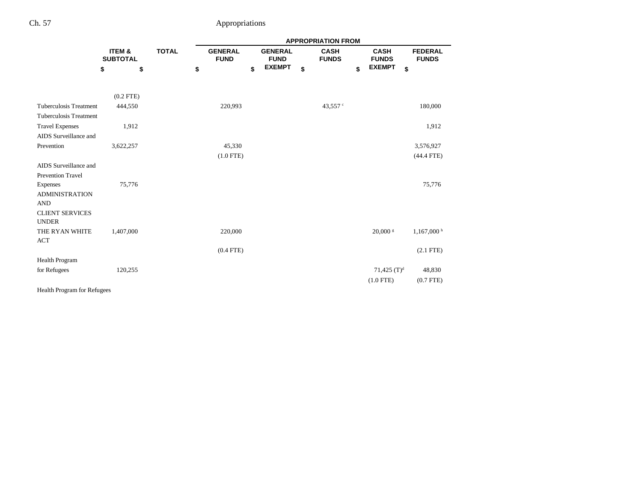|                                        |                           |              |                               |                               | <b>APPROPRIATION FROM</b>   |                             |                                |
|----------------------------------------|---------------------------|--------------|-------------------------------|-------------------------------|-----------------------------|-----------------------------|--------------------------------|
|                                        | ITEM &<br><b>SUBTOTAL</b> | <b>TOTAL</b> | <b>GENERAL</b><br><b>FUND</b> | <b>GENERAL</b><br><b>FUND</b> | <b>CASH</b><br><b>FUNDS</b> | <b>CASH</b><br><b>FUNDS</b> | <b>FEDERAL</b><br><b>FUNDS</b> |
|                                        | \$<br>\$                  |              | \$                            | <b>EXEMPT</b><br>\$           | \$                          | <b>EXEMPT</b><br>\$         | \$                             |
|                                        | $(0.2$ FTE)               |              |                               |                               |                             |                             |                                |
| <b>Tuberculosis Treatment</b>          | 444,550                   |              | 220,993                       |                               | 43,557 $\degree$            |                             | 180,000                        |
| <b>Tuberculosis Treatment</b>          |                           |              |                               |                               |                             |                             |                                |
| <b>Travel Expenses</b>                 | 1,912                     |              |                               |                               |                             |                             | 1,912                          |
| AIDS Surveillance and                  |                           |              |                               |                               |                             |                             |                                |
| Prevention                             | 3,622,257                 |              | 45,330                        |                               |                             |                             | 3,576,927                      |
|                                        |                           |              | $(1.0$ FTE)                   |                               |                             |                             | $(44.4$ FTE)                   |
| AIDS Surveillance and                  |                           |              |                               |                               |                             |                             |                                |
| <b>Prevention Travel</b>               |                           |              |                               |                               |                             |                             |                                |
| <b>Expenses</b>                        | 75,776                    |              |                               |                               |                             |                             | 75,776                         |
| <b>ADMINISTRATION</b>                  |                           |              |                               |                               |                             |                             |                                |
| <b>AND</b>                             |                           |              |                               |                               |                             |                             |                                |
| <b>CLIENT SERVICES</b><br><b>UNDER</b> |                           |              |                               |                               |                             |                             |                                |
| THE RYAN WHITE<br><b>ACT</b>           | 1,407,000                 |              | 220,000                       |                               |                             | $20,000$ s                  | 1,167,000h                     |
|                                        |                           |              | $(0.4$ FTE)                   |                               |                             |                             | $(2.1$ FTE $)$                 |
| <b>Health Program</b>                  |                           |              |                               |                               |                             |                             |                                |
| for Refugees                           | 120,255                   |              |                               |                               |                             | 71,425 $(T)^d$              | 48,830                         |
|                                        |                           |              |                               |                               |                             | $(1.0$ FTE)                 | $(0.7$ FTE)                    |
| Health Program for Refugees            |                           |              |                               |                               |                             |                             |                                |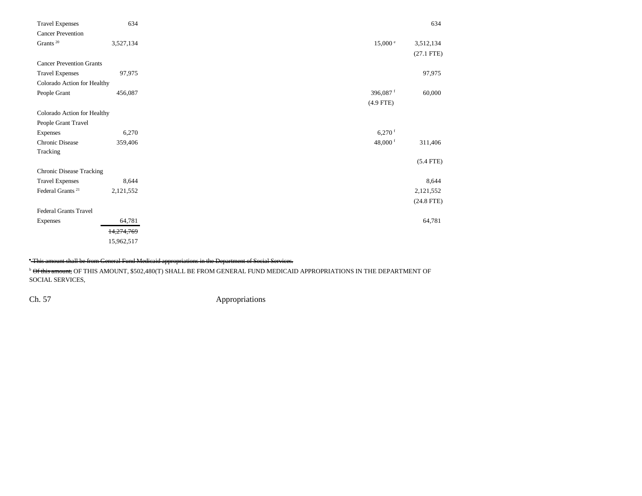| <b>Travel Expenses</b>          | 634        |                      | 634             |
|---------------------------------|------------|----------------------|-----------------|
| <b>Cancer Prevention</b>        |            |                      |                 |
| Grants $^{\rm 20}$              | 3,527,134  | 15,000 °             | 3,512,134       |
|                                 |            |                      | $(27.1$ FTE)    |
| <b>Cancer Prevention Grants</b> |            |                      |                 |
| <b>Travel Expenses</b>          | 97,975     |                      | 97,975          |
| Colorado Action for Healthy     |            |                      |                 |
| People Grant                    | 456,087    | 396,087 <sup>f</sup> | 60,000          |
|                                 |            | $(4.9$ FTE)          |                 |
| Colorado Action for Healthy     |            |                      |                 |
| People Grant Travel             |            |                      |                 |
| Expenses                        | 6,270      | $6,270$ <sup>f</sup> |                 |
| <b>Chronic Disease</b>          | 359,406    | 48,000 $f$           | 311,406         |
| Tracking                        |            |                      |                 |
|                                 |            |                      | $(5.4$ FTE)     |
| <b>Chronic Disease Tracking</b> |            |                      |                 |
| <b>Travel Expenses</b>          | 8,644      |                      | 8,644           |
| Federal Grants <sup>21</sup>    | 2,121,552  |                      | 2,121,552       |
|                                 |            |                      | $(24.8$ FTE $)$ |
| <b>Federal Grants Travel</b>    |            |                      |                 |
| <b>Expenses</b>                 | 64,781     |                      | 64,781          |
|                                 | 14,274,769 |                      |                 |
|                                 | 15,962,517 |                      |                 |

## <sup>\*</sup> This amount shall be from General Fund Medicaid appropriations in the Department of Social Services.

**b Of this amount, OF THIS AMOUNT, \$502,480(T) SHALL BE FROM GENERAL FUND MEDICAID APPROPRIATIONS IN THE DEPARTMENT OF** SOCIAL SERVICES,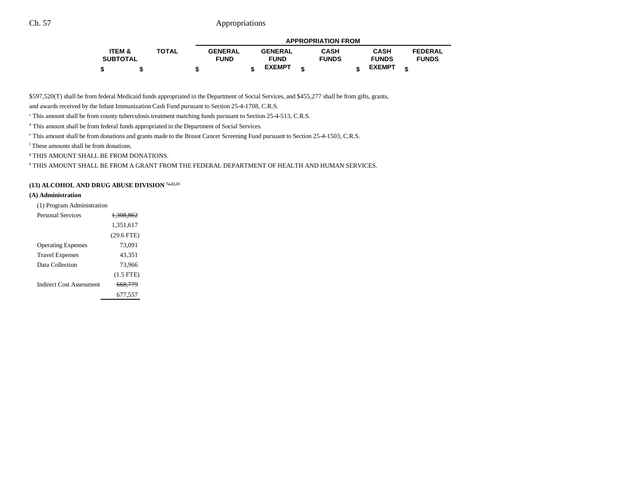|                 |              |                |                | <b>APPROPRIATION FROM</b> |               |                |  |
|-----------------|--------------|----------------|----------------|---------------------------|---------------|----------------|--|
| ITEM &          | <b>TOTAL</b> | <b>GENERAL</b> | <b>GENERAL</b> | <b>CASH</b>               | <b>CASH</b>   | <b>FEDERAL</b> |  |
| <b>SUBTOTAL</b> |              | <b>FUND</b>    | <b>FUND</b>    | <b>FUNDS</b>              | <b>FUNDS</b>  | <b>FUNDS</b>   |  |
|                 |              |                | <b>EXEMPT</b>  |                           | <b>EXEMPT</b> | ¢              |  |

\$597,520(T) shall be from federal Medicaid funds appropriated in the Department of Social Services, and \$455,277 shall be from gifts, grants,

and awards received by the Infant Immunization Cash Fund pursuant to Section 25-4-1708, C.R.S.

c This amount shall be from county tuberculosis treatment matching funds pursuant to Section 25-4-513, C.R.S.

d This amount shall be from federal funds appropriated in the Department of Social Services.

e This amount shall be from donations and grants made to the Breast Cancer Screening Fund pursuant to Section 25-4-1503, C.R.S.

f These amounts shall be from donations.

g THIS AMOUNT SHALL BE FROM DONATIONS.

h THIS AMOUNT SHALL BE FROM A GRANT FROM THE FEDERAL DEPARTMENT OF HEALTH AND HUMAN SERVICES.

## **(13) ALCOHOL AND DRUG ABUSE DIVISION 7a,22,23**

#### **(A) Administration**

| (1) Program Administration |                      |
|----------------------------|----------------------|
| <b>Personal Services</b>   | <del>1.308.862</del> |
|                            | 1,351,617            |
|                            | $(29.6$ FTE)         |
| <b>Operating Expenses</b>  | 73,091               |
| <b>Travel Expenses</b>     | 43.351               |
| Data Collection            | 73,966               |
|                            | $(1.5$ FTE)          |
| Indirect Cost Assessment   | 668,779              |
|                            | 677,557              |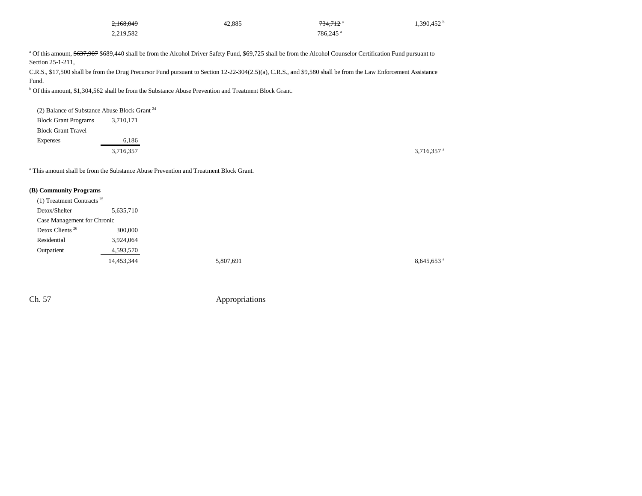| 2,168,049 | 42,885 | 734.712 a            | $1,390,452$ <sup>b</sup> |
|-----------|--------|----------------------|--------------------------|
| 2,219,582 |        | 786.245 <sup>a</sup> |                          |

a Of this amount, \$637,907 \$689,440 shall be from the Alcohol Driver Safety Fund, \$69,725 shall be from the Alcohol Counselor Certification Fund pursuant to Section 25-1-211,

C.R.S., \$17,500 shall be from the Drug Precursor Fund pursuant to Section 12-22-304(2.5)(a), C.R.S., and \$9,580 shall be from the Law Enforcement Assistance Fund.

b Of this amount, \$1,304,562 shall be from the Substance Abuse Prevention and Treatment Block Grant.

| (2) Balance of Substance Abuse Block Grant $24$ |           |  |
|-------------------------------------------------|-----------|--|
| <b>Block Grant Programs</b>                     | 3,710,171 |  |
| <b>Block Grant Travel</b>                       |           |  |
| Expenses                                        | 6,186     |  |
|                                                 | 3,716,357 |  |

a This amount shall be from the Substance Abuse Prevention and Treatment Block Grant.

#### **(B) Community Programs**

| $(1)$ Treatment Contracts <sup>25</sup> |            |           |                          |
|-----------------------------------------|------------|-----------|--------------------------|
| Detox/Shelter                           | 5,635,710  |           |                          |
| Case Management for Chronic             |            |           |                          |
| Detox Clients <sup>26</sup>             | 300,000    |           |                          |
| Residential                             | 3,924,064  |           |                          |
| Outpatient                              | 4,593,570  |           |                          |
|                                         | 14,453,344 | 5,807,691 | $8,645,653$ <sup>a</sup> |
|                                         |            |           |                          |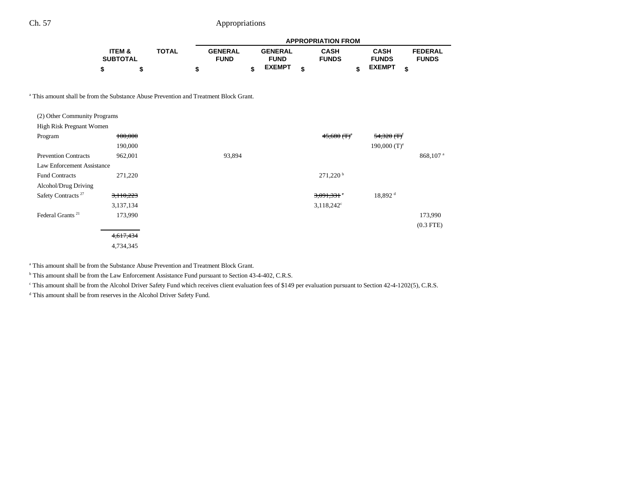|                 |              |                |                | <b>APPROPRIATION FROM</b> |               |                |  |
|-----------------|--------------|----------------|----------------|---------------------------|---------------|----------------|--|
| ITEM &          | <b>TOTAL</b> | <b>GENERAL</b> | <b>GENERAL</b> | <b>CASH</b>               | <b>CASH</b>   | <b>FEDERAL</b> |  |
| <b>SUBTOTAL</b> |              | <b>FUND</b>    | <b>FUND</b>    | <b>FUNDS</b>              | <b>FUNDS</b>  | <b>FUNDS</b>   |  |
|                 |              |                | <b>EXEMPT</b>  |                           | <b>EXEMPT</b> |                |  |

a This amount shall be from the Substance Abuse Prevention and Treatment Block Grant.

| (2) Other Community Programs   |           |        |                           |                            |                      |
|--------------------------------|-----------|--------|---------------------------|----------------------------|----------------------|
| High Risk Pregnant Women       |           |        |                           |                            |                      |
| Program                        | 100,000   |        | $45,680$ (T) <sup>e</sup> | $54,320$ (T) <sup>f</sup>  |                      |
|                                | 190,000   |        |                           | $190,000$ (T) <sup>e</sup> |                      |
| <b>Prevention Contracts</b>    | 962,001   | 93,894 |                           |                            | 868,107 <sup>a</sup> |
| Law Enforcement Assistance     |           |        |                           |                            |                      |
| <b>Fund Contracts</b>          | 271,220   |        | $271,220$ <sup>b</sup>    |                            |                      |
| Alcohol/Drug Driving           |           |        |                           |                            |                      |
| Safety Contracts <sup>27</sup> | 3,110,223 |        | $3,091,331$ <sup>c</sup>  | 18,892 <sup>d</sup>        |                      |
|                                | 3,137,134 |        | $3,118,242^{\circ}$       |                            |                      |
| Federal Grants <sup>21</sup>   | 173,990   |        |                           |                            | 173,990              |
|                                |           |        |                           |                            | $(0.3$ FTE)          |
|                                | 4,617,434 |        |                           |                            |                      |
|                                | 4,734,345 |        |                           |                            |                      |

a This amount shall be from the Substance Abuse Prevention and Treatment Block Grant.

<sup>b</sup> This amount shall be from the Law Enforcement Assistance Fund pursuant to Section 43-4-402, C.R.S.

<sup>c</sup> This amount shall be from the Alcohol Driver Safety Fund which receives client evaluation fees of \$149 per evaluation pursuant to Section 42-4-1202(5), C.R.S.

d This amount shall be from reserves in the Alcohol Driver Safety Fund.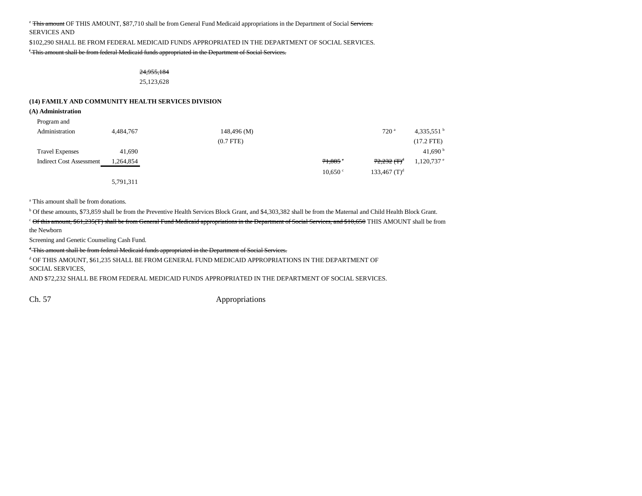### <sup>e</sup> This amount OF THIS AMOUNT, \$87,710 shall be from General Fund Medicaid appropriations in the Department of Social Services. SERVICES AND

\$102,290 SHALL BE FROM FEDERAL MEDICAID FUNDS APPROPRIATED IN THE DEPARTMENT OF SOCIAL SERVICES.

f This amount shall be from federal Medicaid funds appropriated in the Department of Social Services.

24,955,184 25,123,628

#### **(14) FAMILY AND COMMUNITY HEALTH SERVICES DIVISION**

**(A) Administration**

| Program and                     |           |                 |          |                                  |                          |
|---------------------------------|-----------|-----------------|----------|----------------------------------|--------------------------|
| Administration                  | 4,484,767 | $148,496 \,(M)$ |          | 720 <sup>a</sup>                 | 4,335,551 $^{\rm b}$     |
|                                 |           | $(0.7$ FTE)     |          |                                  | $(17.2$ FTE)             |
| <b>Travel Expenses</b>          | 41,690    |                 |          |                                  | 41,690 $^{\rm b}$        |
| <b>Indirect Cost Assessment</b> | 1,264,854 |                 | 71,885   | $72,232$ $(\text{T})^{\text{d}}$ | $1,120,737$ <sup>e</sup> |
|                                 |           |                 | 10,650 ° | $133,467$ (T) <sup>d</sup>       |                          |
|                                 | 5,791,311 |                 |          |                                  |                          |

a This amount shall be from donations.

b Of these amounts, \$73,859 shall be from the Preventive Health Services Block Grant, and \$4,303,382 shall be from the Maternal and Child Health Block Grant.

<sup>c</sup> Of this amount, \$61,235(T) shall be from General Fund Medicaid appropriations in the Department of Social Services, and \$10,650 THIS AMOUNT shall be from the Newborn

Screening and Genetic Counseling Cash Fund.

<sup>d</sup> This amount shall be from federal Medicaid funds appropriated in the Department of Social Services.

 $^{\rm d}$  OF THIS AMOUNT, \$61,235 SHALL BE FROM GENERAL FUND MEDICAID APPROPRIATIONS IN THE DEPARTMENT OF SOCIAL SERVICES,

AND \$72,232 SHALL BE FROM FEDERAL MEDICAID FUNDS APPROPRIATED IN THE DEPARTMENT OF SOCIAL SERVICES.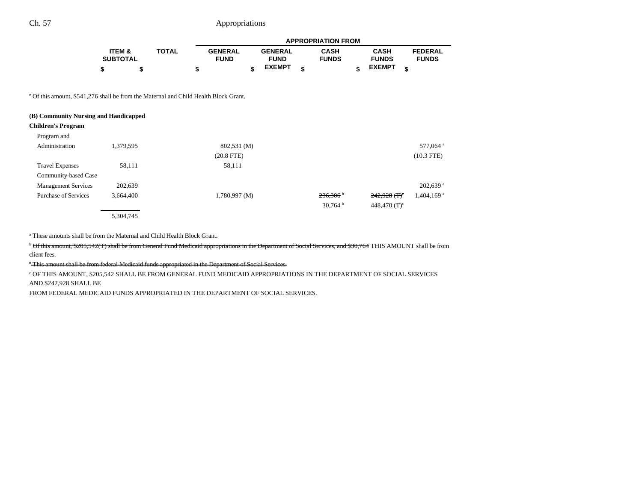|                 |              |                | <b>APPROPRIATION FROM</b> |                |  |              |  |               |                |  |
|-----------------|--------------|----------------|---------------------------|----------------|--|--------------|--|---------------|----------------|--|
| ITEM &          | <b>TOTAL</b> | <b>GENERAL</b> |                           | <b>GENERAL</b> |  | <b>CASH</b>  |  | <b>CASH</b>   | <b>FEDERAL</b> |  |
| <b>SUBTOTAL</b> |              | <b>FUND</b>    |                           | <b>FUND</b>    |  | <b>FUNDS</b> |  | <b>FUNDS</b>  | <b>FUNDS</b>   |  |
|                 |              |                |                           | <b>EXEMPT</b>  |  |              |  | <b>EXEMPT</b> |                |  |

e Of this amount, \$541,276 shall be from the Maternal and Child Health Block Grant.

| (B) Community Nursing and Handicapped |           |                    |                        |                            |                          |
|---------------------------------------|-----------|--------------------|------------------------|----------------------------|--------------------------|
| <b>Children's Program</b>             |           |                    |                        |                            |                          |
| Program and                           |           |                    |                        |                            |                          |
| Administration                        | 1,379,595 | 802,531 (M)        |                        |                            | 577,064 <sup>a</sup>     |
|                                       |           | $(20.8$ FTE)       |                        |                            | $(10.3$ FTE)             |
| <b>Travel Expenses</b>                | 58,111    | 58,111             |                        |                            |                          |
| Community-based Case                  |           |                    |                        |                            |                          |
| <b>Management Services</b>            | 202,639   |                    |                        |                            | 202,639 <sup>a</sup>     |
| <b>Purchase of Services</b>           | 3,664,400 | $1,780,997 \; (M)$ | $236,306$ <sup>b</sup> | $242,928$ (T) <sup>c</sup> | $1,404,169$ <sup>a</sup> |
|                                       |           |                    | $30,764^{\mathrm{b}}$  | 448,470 $(T)^c$            |                          |
|                                       | 5.304.745 |                    |                        |                            |                          |

a These amounts shall be from the Maternal and Child Health Block Grant.

<sup>b</sup> Of this amount, \$205,542(T) shall be from General Fund Medicaid appropriations in the Department of Social Services, and \$30,764 THIS AMOUNT shall be from client fees.

c This amount shall be from federal Medicaid funds appropriated in the Department of Social Services.

c OF THIS AMOUNT, \$205,542 SHALL BE FROM GENERAL FUND MEDICAID APPROPRIATIONS IN THE DEPARTMENT OF SOCIAL SERVICES AND \$242,928 SHALL BE

FROM FEDERAL MEDICAID FUNDS APPROPRIATED IN THE DEPARTMENT OF SOCIAL SERVICES.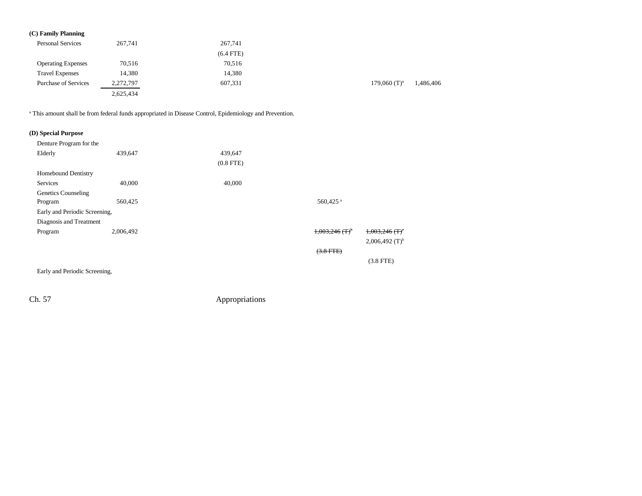## **(C) Family Planning**

| <b>Personal Services</b>    | 267,741   | 267,741     |                            |           |
|-----------------------------|-----------|-------------|----------------------------|-----------|
|                             |           | $(6.4$ FTE) |                            |           |
| <b>Operating Expenses</b>   | 70,516    | 70,516      |                            |           |
| <b>Travel Expenses</b>      | 14,380    | 14,380      |                            |           |
| <b>Purchase of Services</b> | 2,272,797 | 607,331     | $179,060$ (T) <sup>a</sup> | 1,486,406 |
|                             | 2,625,434 |             |                            |           |

a This amount shall be from federal funds appropriated in Disease Control, Epidemiology and Prevention.

### **(D) Special Purpose**

| Denture Program for the       |           |             |                              |                              |
|-------------------------------|-----------|-------------|------------------------------|------------------------------|
| Elderly                       | 439,647   | 439,647     |                              |                              |
|                               |           | $(0.8$ FTE) |                              |                              |
| <b>Homebound Dentistry</b>    |           |             |                              |                              |
| Services                      | 40,000    | 40,000      |                              |                              |
| Genetics Counseling           |           |             |                              |                              |
| Program                       | 560,425   |             | 560,425 <sup>a</sup>         |                              |
| Early and Periodic Screening, |           |             |                              |                              |
| Diagnosis and Treatment       |           |             |                              |                              |
| Program                       | 2,006,492 |             | $1,003,246$ (T) <sup>b</sup> | $1,003,246$ (T) <sup>c</sup> |
|                               |           |             |                              | $2,006,492$ (T) <sup>b</sup> |
|                               |           |             | $(3.8$ FTE)                  |                              |
|                               |           |             |                              | $(3.8$ FTE)                  |

Early and Periodic Screening,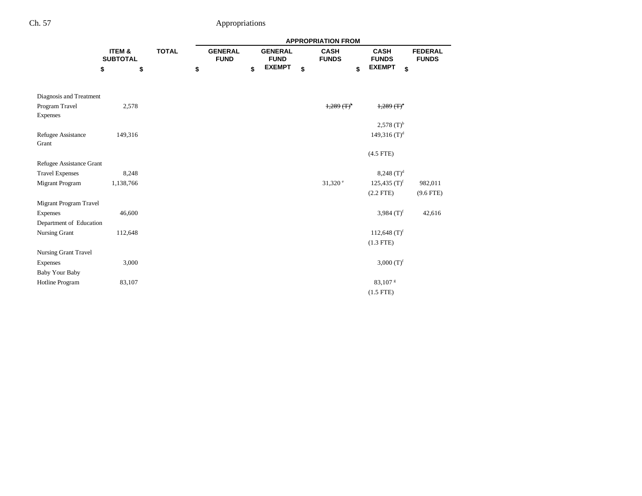|                             |                           |              | <b>APPROPRIATION FROM</b> |                               |    |                               |    |                             |                             |                                |  |
|-----------------------------|---------------------------|--------------|---------------------------|-------------------------------|----|-------------------------------|----|-----------------------------|-----------------------------|--------------------------------|--|
|                             | ITEM &<br><b>SUBTOTAL</b> | <b>TOTAL</b> |                           | <b>GENERAL</b><br><b>FUND</b> |    | <b>GENERAL</b><br><b>FUND</b> |    | <b>CASH</b><br><b>FUNDS</b> | <b>CASH</b><br><b>FUNDS</b> | <b>FEDERAL</b><br><b>FUNDS</b> |  |
|                             | \$<br>\$                  |              | \$                        |                               | \$ | <b>EXEMPT</b>                 | \$ | \$                          | <b>EXEMPT</b><br>\$         |                                |  |
| Diagnosis and Treatment     |                           |              |                           |                               |    |                               |    |                             |                             |                                |  |
| Program Travel<br>Expenses  | 2,578                     |              |                           |                               |    |                               |    | $1,289$ $($ T $)^{0}$       | $+289$ $(+)$ <sup>c</sup>   |                                |  |
|                             |                           |              |                           |                               |    |                               |    |                             | $2,578$ (T) <sup>b</sup>    |                                |  |
| Refugee Assistance<br>Grant | 149,316                   |              |                           |                               |    |                               |    |                             | 149,316 $(T)^d$             |                                |  |
|                             |                           |              |                           |                               |    |                               |    |                             | $(4.5$ FTE)                 |                                |  |
| Refugee Assistance Grant    |                           |              |                           |                               |    |                               |    |                             |                             |                                |  |
| <b>Travel Expenses</b>      | 8,248                     |              |                           |                               |    |                               |    |                             | 8,248 $(T)^d$               |                                |  |
| <b>Migrant Program</b>      | 1,138,766                 |              |                           |                               |    |                               |    | $31,320$ e                  | 125,435 $(T)^f$             | 982,011                        |  |
|                             |                           |              |                           |                               |    |                               |    |                             | $(2.2$ FTE)                 | $(9.6$ FTE)                    |  |
| Migrant Program Travel      |                           |              |                           |                               |    |                               |    |                             |                             |                                |  |
| Expenses                    | 46,600                    |              |                           |                               |    |                               |    |                             | 3,984 $(T)^f$               | 42,616                         |  |
| Department of Education     |                           |              |                           |                               |    |                               |    |                             |                             |                                |  |
| Nursing Grant               | 112,648                   |              |                           |                               |    |                               |    |                             | 112,648 $(T)^f$             |                                |  |
|                             |                           |              |                           |                               |    |                               |    |                             | $(1.3$ FTE)                 |                                |  |
| <b>Nursing Grant Travel</b> |                           |              |                           |                               |    |                               |    |                             |                             |                                |  |
| Expenses                    | 3,000                     |              |                           |                               |    |                               |    |                             | 3,000 $(T)^f$               |                                |  |
| Baby Your Baby              |                           |              |                           |                               |    |                               |    |                             |                             |                                |  |
| Hotline Program             | 83,107                    |              |                           |                               |    |                               |    |                             | 83,107 <sup>s</sup>         |                                |  |
|                             |                           |              |                           |                               |    |                               |    |                             | $(1.5$ FTE)                 |                                |  |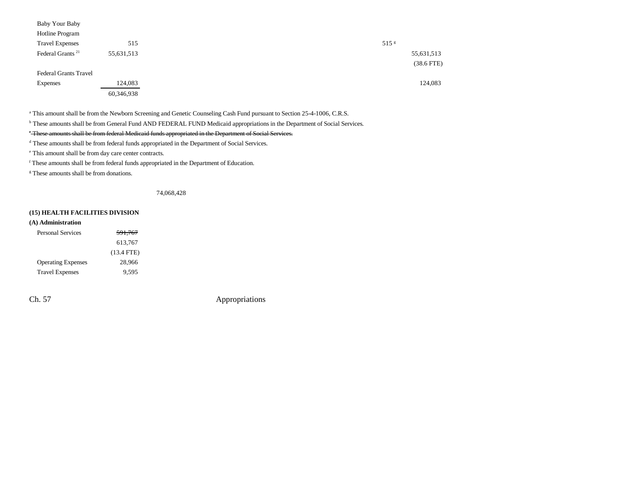| Baby Your Baby               |            |                  |
|------------------------------|------------|------------------|
| Hotline Program              |            |                  |
| <b>Travel Expenses</b>       | 515        | 515 <sup>g</sup> |
| Federal Grants <sup>21</sup> | 55,631,513 |                  |
|                              |            |                  |
| <b>Federal Grants Travel</b> |            |                  |
| Expenses                     | 124,083    |                  |
|                              | 60,346,938 |                  |

a This amount shall be from the Newborn Screening and Genetic Counseling Cash Fund pursuant to Section 25-4-1006, C.R.S.

b These amounts shall be from General Fund AND FEDERAL FUND Medicaid appropriations in the Department of Social Services.

### <sup>e</sup> These amounts shall be from federal Medicaid funds appropriated in the Department of Social Services.

d These amounts shall be from federal funds appropriated in the Department of Social Services.

e This amount shall be from day care center contracts.

f These amounts shall be from federal funds appropriated in the Department of Education.

g These amounts shall be from donations.

74,068,428

#### **(15) HEALTH FACILITIES DIVISION**

| (A) Administration        |                    |
|---------------------------|--------------------|
| Personal Services         | <del>591,767</del> |
|                           | 613,767            |
|                           | $(13.4$ FTE)       |
| <b>Operating Expenses</b> | 28,966             |
| <b>Travel Expenses</b>    | 9.595              |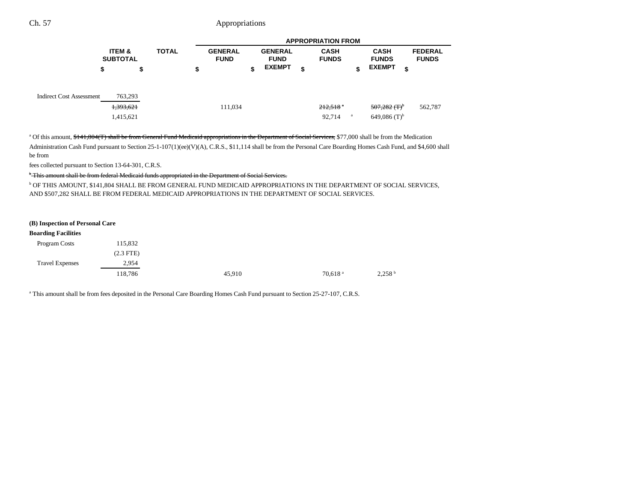|                                 | <b>APPROPRIATION FROM</b>            |              |    |                               |    |                               |    |                                  |   |                                               |                                |
|---------------------------------|--------------------------------------|--------------|----|-------------------------------|----|-------------------------------|----|----------------------------------|---|-----------------------------------------------|--------------------------------|
|                                 | <b>ITEM &amp;</b><br><b>SUBTOTAL</b> | <b>TOTAL</b> |    | <b>GENERAL</b><br><b>FUND</b> |    | <b>GENERAL</b><br><b>FUND</b> |    | <b>CASH</b><br><b>FUNDS</b>      |   | <b>CASH</b><br><b>FUNDS</b>                   | <b>FEDERAL</b><br><b>FUNDS</b> |
|                                 | \$                                   | \$           | \$ |                               | \$ | <b>EXEMPT</b>                 | \$ |                                  |   | <b>EXEMPT</b>                                 | \$                             |
| <b>Indirect Cost Assessment</b> | 763,293<br>1,393,621<br>1,415,621    |              |    | 111,034                       |    |                               |    | $212,518$ <sup>a</sup><br>92,714 | a | $507,282$ (T) <sup>b</sup><br>649,086 $(T)^b$ | 562,787                        |

<sup>a</sup> Of this amount, \$141,804(T) shall be from General Fund Medicaid appropriations in the Department of Social Services, \$77,000 shall be from the Medication Administration Cash Fund pursuant to Section 25-1-107(1)(ee)(V)(A), C.R.S., \$11,114 shall be from the Personal Care Boarding Homes Cash Fund, and \$4,600 shall be from

fees collected pursuant to Section 13-64-301, C.R.S.

<sup>b</sup> This amount shall be from federal Medicaid funds appropriated in the Department of Social Services.

b OF THIS AMOUNT, \$141,804 SHALL BE FROM GENERAL FUND MEDICAID APPROPRIATIONS IN THE DEPARTMENT OF SOCIAL SERVICES, AND \$507,282 SHALL BE FROM FEDERAL MEDICAID APPROPRIATIONS IN THE DEPARTMENT OF SOCIAL SERVICES.

#### **(B) Inspection of Personal Care**

#### **Boarding Facilities**

| Program Costs          | 115,832     |        |                       |                    |
|------------------------|-------------|--------|-----------------------|--------------------|
|                        | $(2.3$ FTE) |        |                       |                    |
| <b>Travel Expenses</b> | 2,954       |        |                       |                    |
|                        | 118,786     | 45,910 | $70,618$ <sup>a</sup> | 2,258 <sup>b</sup> |
|                        |             |        |                       |                    |

<sup>a</sup> This amount shall be from fees deposited in the Personal Care Boarding Homes Cash Fund pursuant to Section 25-27-107, C.R.S.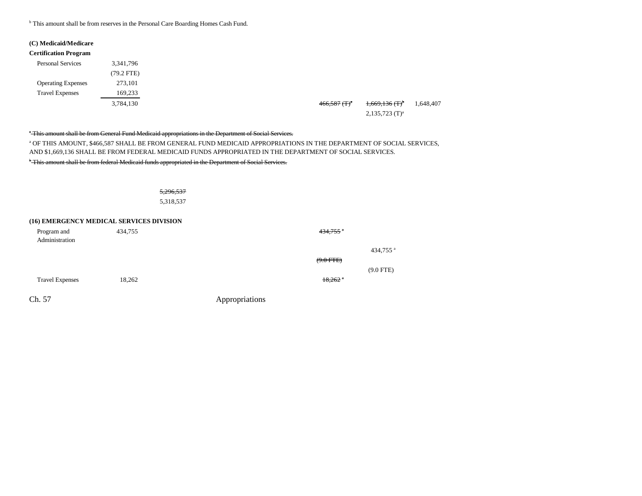<sup>b</sup> This amount shall be from reserves in the Personal Care Boarding Homes Cash Fund.

## **(C) Medicaid/Medicare**

| 3,341,796    |
|--------------|
| $(79.2$ FTE) |
| 273,101      |
| 169,233      |
| 3,784,130    |
|              |
|              |

<sup>a</sup> This amount shall be from General Fund Medicaid appropriations in the Department of Social Services.

a OF THIS AMOUNT, \$466,587 SHALL BE FROM GENERAL FUND MEDICAID APPROPRIATIONS IN THE DEPARTMENT OF SOCIAL SERVICES, AND \$1,669,136 SHALL BE FROM FEDERAL MEDICAID FUNDS APPROPRIATED IN THE DEPARTMENT OF SOCIAL SERVICES.

<sup>b</sup> This amount shall be from federal Medicaid funds appropriated in the Department of Social Services.

# 5,296,537 5,318,537

### **(16) EMERGENCY MEDICAL SERVICES DIVISION**

| Program and<br>Administration | 434,755 | $434,755$ <sup>a</sup> |
|-------------------------------|---------|------------------------|
|                               |         | 434,755 <sup>a</sup>   |
|                               |         | $(9.0$ FTE)            |
|                               |         | $(9.0$ FTE)            |
| <b>Travel Expenses</b>        | 18,262  | $18,262$ <sup>a</sup>  |
| Ch. 57                        |         | Appropriations         |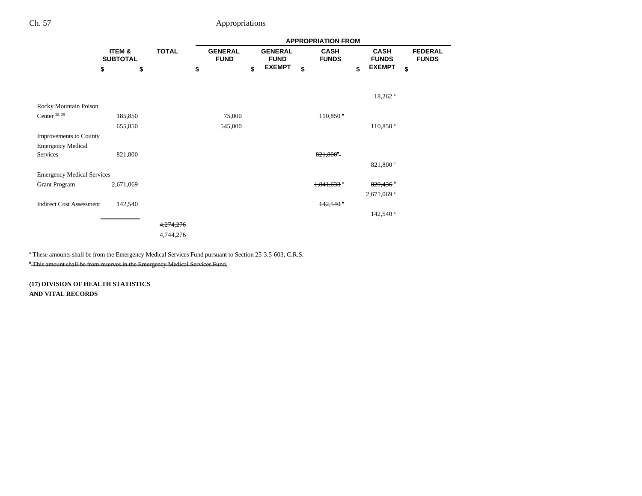|                                   |                           |                      |    | <b>APPROPRIATION FROM</b>     |    |                               |    |                             |    |                             |                                |  |
|-----------------------------------|---------------------------|----------------------|----|-------------------------------|----|-------------------------------|----|-----------------------------|----|-----------------------------|--------------------------------|--|
|                                   | ITEM &<br><b>SUBTOTAL</b> | <b>TOTAL</b>         |    | <b>GENERAL</b><br><b>FUND</b> |    | <b>GENERAL</b><br><b>FUND</b> |    | <b>CASH</b><br><b>FUNDS</b> |    | <b>CASH</b><br><b>FUNDS</b> | <b>FEDERAL</b><br><b>FUNDS</b> |  |
|                                   | \$                        | \$                   | \$ |                               | \$ | <b>EXEMPT</b>                 | \$ |                             | \$ | <b>EXEMPT</b>               | \$                             |  |
|                                   |                           |                      |    |                               |    |                               |    |                             |    | $18,262$ <sup>a</sup>       |                                |  |
| Rocky Mountain Poison             |                           |                      |    |                               |    |                               |    |                             |    |                             |                                |  |
| Center $28, 29$                   | 185,850                   |                      |    | 75,000                        |    |                               |    | $110,850$ <sup>a</sup>      |    |                             |                                |  |
|                                   | 655,850                   |                      |    | 545,000                       |    |                               |    |                             |    | $110,850$ <sup>a</sup>      |                                |  |
| <b>Improvements to County</b>     |                           |                      |    |                               |    |                               |    |                             |    |                             |                                |  |
| <b>Emergency Medical</b>          |                           |                      |    |                               |    |                               |    |                             |    |                             |                                |  |
| Services                          | 821,800                   |                      |    |                               |    |                               |    | $821,800^4$                 |    |                             |                                |  |
|                                   |                           |                      |    |                               |    |                               |    |                             |    | 821,800 <sup>a</sup>        |                                |  |
| <b>Emergency Medical Services</b> |                           |                      |    |                               |    |                               |    |                             |    |                             |                                |  |
| <b>Grant Program</b>              | 2,671,069                 |                      |    |                               |    |                               |    | $1,841,633$ <sup>a</sup>    |    | $829,436$ <sup>b</sup>      |                                |  |
|                                   |                           |                      |    |                               |    |                               |    |                             |    | 2,671,069 <sup>a</sup>      |                                |  |
| <b>Indirect Cost Assessment</b>   | 142,540                   |                      |    |                               |    |                               |    | $142,540$ <sup>a</sup>      |    |                             |                                |  |
|                                   |                           |                      |    |                               |    |                               |    |                             |    | 142,540 <sup>a</sup>        |                                |  |
|                                   |                           | <del>4,274,276</del> |    |                               |    |                               |    |                             |    |                             |                                |  |
|                                   |                           | 4,744,276            |    |                               |    |                               |    |                             |    |                             |                                |  |
|                                   |                           |                      |    |                               |    |                               |    |                             |    |                             |                                |  |

a These amounts shall be from the Emergency Medical Services Fund pursuant to Section 25-3.5-603, C.R.S.

<sup>b</sup> This amount shall be from reserves in the Emergency Medical Services Fund.

**(17) DIVISION OF HEALTH STATISTICS AND VITAL RECORDS**